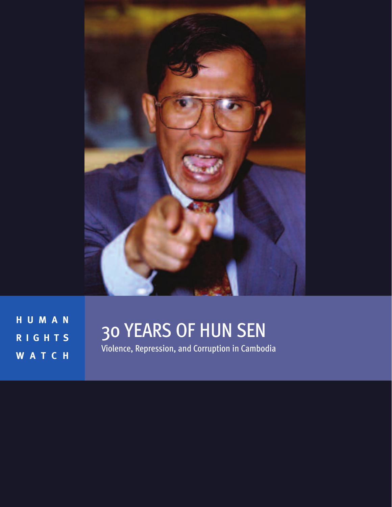

**H U M A N R I G H T S W A T C H**

# 30 YEARS OF HUN SEN

Violence, Repression, and Corruption in Cambodia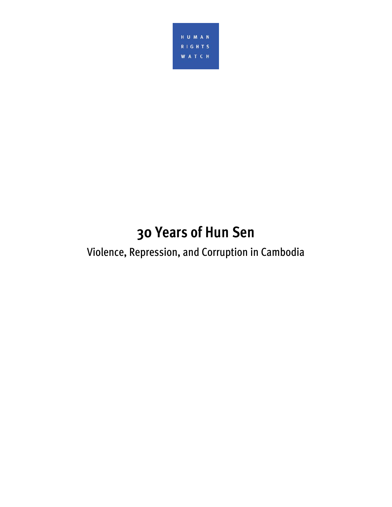

# **30 Years of Hun Sen**

# Violence, Repression, and Corruption in Cambodia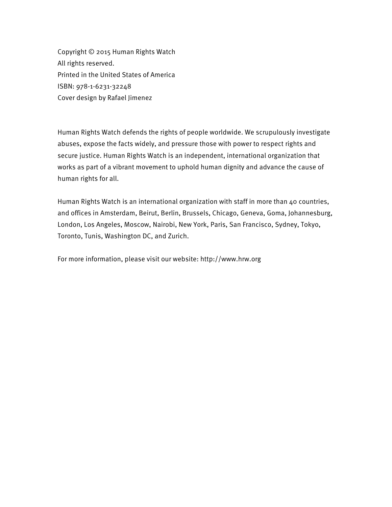Copyright © 2015 Human Rights Watch All rights reserved. Printed in the United States of America ISBN: 978-1-6231-32248 Cover design by Rafael Jimenez

Human Rights Watch defends the rights of people worldwide. We scrupulously investigate abuses, expose the facts widely, and pressure those with power to respect rights and secure justice. Human Rights Watch is an independent, international organization that works as part of a vibrant movement to uphold human dignity and advance the cause of human rights for all.

Human Rights Watch is an international organization with staff in more than 40 countries, and offices in Amsterdam, Beirut, Berlin, Brussels, Chicago, Geneva, Goma, Johannesburg, London, Los Angeles, Moscow, Nairobi, New York, Paris, San Francisco, Sydney, Tokyo, Toronto, Tunis, Washington DC, and Zurich.

For more information, please visit our website: http://www.hrw.org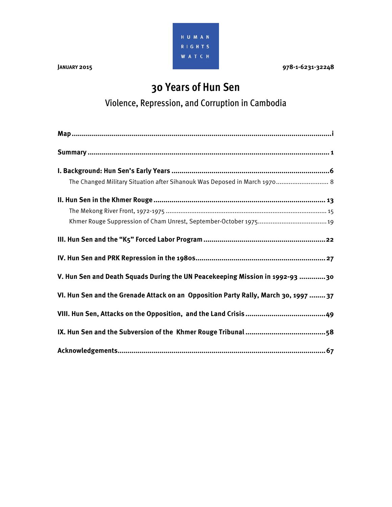

**JANUARY 2015 978-1-6231-32248** 

# **30 Years of Hun Sen**

Violence, Repression, and Corruption in Cambodia

| The Changed Military Situation after Sihanouk Was Deposed in March 1970 8           |
|-------------------------------------------------------------------------------------|
|                                                                                     |
|                                                                                     |
|                                                                                     |
|                                                                                     |
|                                                                                     |
| V. Hun Sen and Death Squads During the UN Peacekeeping Mission in 1992-93 30        |
| VI. Hun Sen and the Grenade Attack on an Opposition Party Rally, March 30, 1997  37 |
|                                                                                     |
|                                                                                     |
|                                                                                     |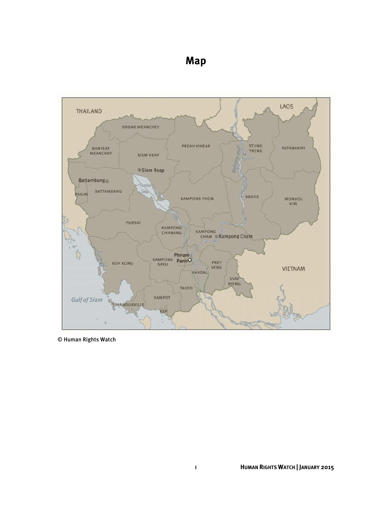## **Map**



© Human Rights Watch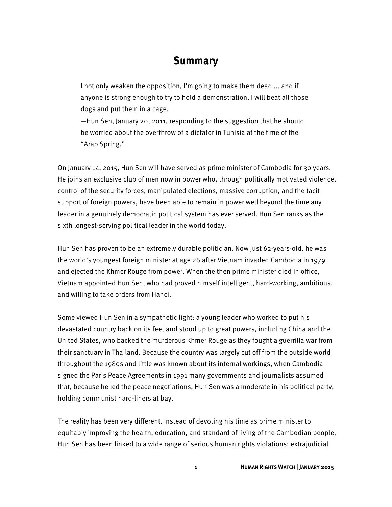### **Summary**

I not only weaken the opposition, I'm going to make them dead ... and if anyone is strong enough to try to hold a demonstration, I will beat all those dogs and put them in a cage.

—Hun Sen, January 20, 2011, responding to the suggestion that he should be worried about the overthrow of a dictator in Tunisia at the time of the "Arab Spring."

On January 14, 2015, Hun Sen will have served as prime minister of Cambodia for 30 years. He joins an exclusive club of men now in power who, through politically motivated violence, control of the security forces, manipulated elections, massive corruption, and the tacit support of foreign powers, have been able to remain in power well beyond the time any leader in a genuinely democratic political system has ever served. Hun Sen ranks as the sixth longest-serving political leader in the world today.

Hun Sen has proven to be an extremely durable politician. Now just 62-years-old, he was the world's youngest foreign minister at age 26 after Vietnam invaded Cambodia in 1979 and ejected the Khmer Rouge from power. When the then prime minister died in office, Vietnam appointed Hun Sen, who had proved himself intelligent, hard-working, ambitious, and willing to take orders from Hanoi.

Some viewed Hun Sen in a sympathetic light: a young leader who worked to put his devastated country back on its feet and stood up to great powers, including China and the United States, who backed the murderous Khmer Rouge as they fought a guerrilla war from their sanctuary in Thailand. Because the country was largely cut off from the outside world throughout the 1980s and little was known about its internal workings, when Cambodia signed the Paris Peace Agreements in 1991 many governments and journalists assumed that, because he led the peace negotiations, Hun Sen was a moderate in his political party, holding communist hard-liners at bay.

The reality has been very different. Instead of devoting his time as prime minister to equitably improving the health, education, and standard of living of the Cambodian people, Hun Sen has been linked to a wide range of serious human rights violations: extrajudicial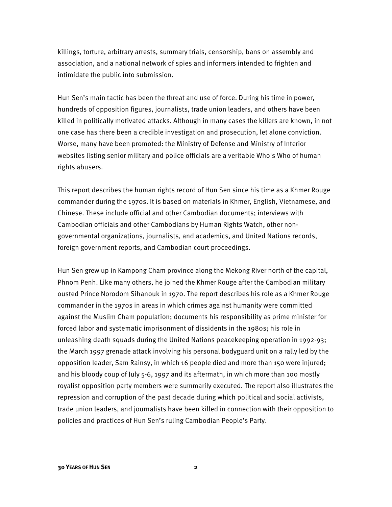killings, torture, arbitrary arrests, summary trials, censorship, bans on assembly and association, and a national network of spies and informers intended to frighten and intimidate the public into submission.

Hun Sen's main tactic has been the threat and use of force. During his time in power, hundreds of opposition figures, journalists, trade union leaders, and others have been killed in politically motivated attacks. Although in many cases the killers are known, in not one case has there been a credible investigation and prosecution, let alone conviction. Worse, many have been promoted: the Ministry of Defense and Ministry of Interior websites listing senior military and police officials are a veritable Who's Who of human rights abusers.

This report describes the human rights record of Hun Sen since his time as a Khmer Rouge commander during the 1970s. It is based on materials in Khmer, English, Vietnamese, and Chinese. These include official and other Cambodian documents; interviews with Cambodian officials and other Cambodians by Human Rights Watch, other nongovernmental organizations, journalists, and academics, and United Nations records, foreign government reports, and Cambodian court proceedings.

Hun Sen grew up in Kampong Cham province along the Mekong River north of the capital, Phnom Penh. Like many others, he joined the Khmer Rouge after the Cambodian military ousted Prince Norodom Sihanouk in 1970. The report describes his role as a Khmer Rouge commander in the 1970s in areas in which crimes against humanity were committed against the Muslim Cham population; documents his responsibility as prime minister for forced labor and systematic imprisonment of dissidents in the 1980s; his role in unleashing death squads during the United Nations peacekeeping operation in 1992-93; the March 1997 grenade attack involving his personal bodyguard unit on a rally led by the opposition leader, Sam Rainsy, in which 16 people died and more than 150 were injured; and his bloody coup of July 5-6, 1997 and its aftermath, in which more than 100 mostly royalist opposition party members were summarily executed. The report also illustrates the repression and corruption of the past decade during which political and social activists, trade union leaders, and journalists have been killed in connection with their opposition to policies and practices of Hun Sen's ruling Cambodian People's Party.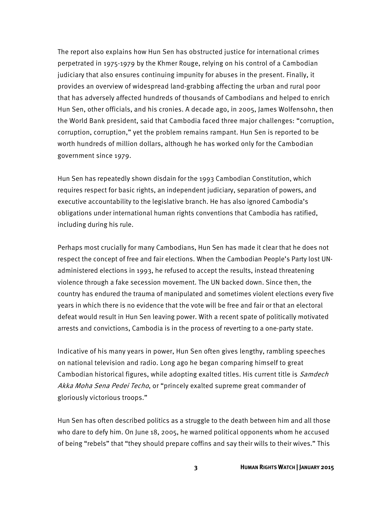The report also explains how Hun Sen has obstructed justice for international crimes perpetrated in 1975-1979 by the Khmer Rouge, relying on his control of a Cambodian judiciary that also ensures continuing impunity for abuses in the present. Finally, it provides an overview of widespread land-grabbing affecting the urban and rural poor that has adversely affected hundreds of thousands of Cambodians and helped to enrich Hun Sen, other officials, and his cronies. A decade ago, in 2005, James Wolfensohn, then the World Bank president, said that Cambodia faced three major challenges: "corruption, corruption, corruption," yet the problem remains rampant. Hun Sen is reported to be worth hundreds of million dollars, although he has worked only for the Cambodian government since 1979.

Hun Sen has repeatedly shown disdain for the 1993 Cambodian Constitution, which requires respect for basic rights, an independent judiciary, separation of powers, and executive accountability to the legislative branch. He has also ignored Cambodia's obligations under international human rights conventions that Cambodia has ratified, including during his rule.

Perhaps most crucially for many Cambodians, Hun Sen has made it clear that he does not respect the concept of free and fair elections. When the Cambodian People's Party lost UNadministered elections in 1993, he refused to accept the results, instead threatening violence through a fake secession movement. The UN backed down. Since then, the country has endured the trauma of manipulated and sometimes violent elections every five years in which there is no evidence that the vote will be free and fair or that an electoral defeat would result in Hun Sen leaving power. With a recent spate of politically motivated arrests and convictions, Cambodia is in the process of reverting to a one-party state.

Indicative of his many years in power, Hun Sen often gives lengthy, rambling speeches on national television and radio. Long ago he began comparing himself to great Cambodian historical figures, while adopting exalted titles. His current title is *Samdech* Akka Moha Sena Pedei Techo, or "princely exalted supreme great commander of gloriously victorious troops."

Hun Sen has often described politics as a struggle to the death between him and all those who dare to defy him. On June 18, 2005, he warned political opponents whom he accused of being "rebels" that "they should prepare coffins and say their wills to their wives." This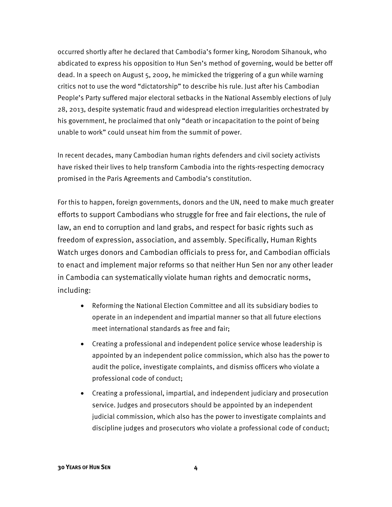occurred shortly after he declared that Cambodia's former king, Norodom Sihanouk, who abdicated to express his opposition to Hun Sen's method of governing, would be better off dead. In a speech on August 5, 2009, he mimicked the triggering of a gun while warning critics not to use the word "dictatorship" to describe his rule. Just after his Cambodian People's Party suffered major electoral setbacks in the National Assembly elections of July 28, 2013, despite systematic fraud and widespread election irregularities orchestrated by his government, he proclaimed that only "death or incapacitation to the point of being unable to work" could unseat him from the summit of power.

In recent decades, many Cambodian human rights defenders and civil society activists have risked their lives to help transform Cambodia into the rights-respecting democracy promised in the Paris Agreements and Cambodia's constitution.

For this to happen, foreign governments, donors and the UN, need to make much greater efforts to support Cambodians who struggle for free and fair elections, the rule of law, an end to corruption and land grabs, and respect for basic rights such as freedom of expression, association, and assembly. Specifically, Human Rights Watch urges donors and Cambodian officials to press for, and Cambodian officials to enact and implement major reforms so that neither Hun Sen nor any other leader in Cambodia can systematically violate human rights and democratic norms, including:

- Reforming the National Election Committee and all its subsidiary bodies to operate in an independent and impartial manner so that all future elections meet international standards as free and fair;
- Creating a professional and independent police service whose leadership is appointed by an independent police commission, which also has the power to audit the police, investigate complaints, and dismiss officers who violate a professional code of conduct;
- Creating a professional, impartial, and independent judiciary and prosecution service. Judges and prosecutors should be appointed by an independent judicial commission, which also has the power to investigate complaints and discipline judges and prosecutors who violate a professional code of conduct;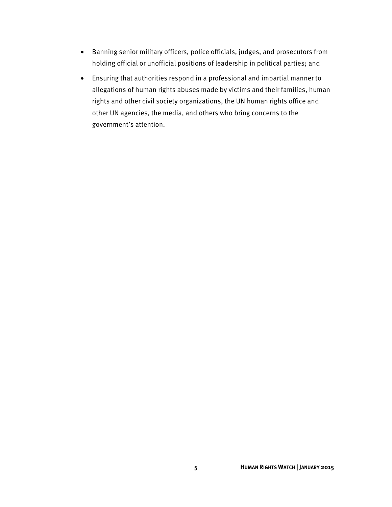- Banning senior military officers, police officials, judges, and prosecutors from holding official or unofficial positions of leadership in political parties; and
- Ensuring that authorities respond in a professional and impartial manner to allegations of human rights abuses made by victims and their families, human rights and other civil society organizations, the UN human rights office and other UN agencies, the media, and others who bring concerns to the government's attention.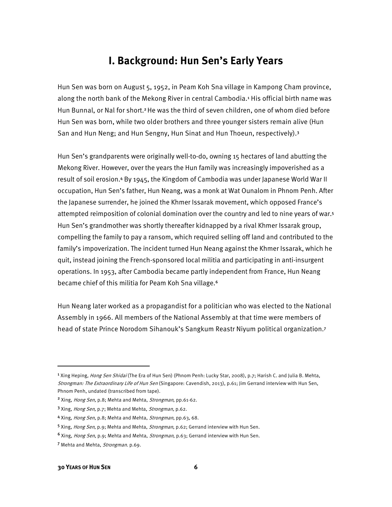## **I. Background: Hun Sen's Early Years**

Hun Sen was born on August 5, 1952, in Peam Koh Sna village in Kampong Cham province, along the north bank of the Mekong River in central Cambodia.1 His official birth name was Hun Bunnal, or Nal for short.2 He was the third of seven children, one of whom died before Hun Sen was born, while two older brothers and three younger sisters remain alive (Hun San and Hun Neng; and Hun Sengny, Hun Sinat and Hun Thoeun, respectively).3

Hun Sen's grandparents were originally well-to-do, owning 15 hectares of land abutting the Mekong River. However, over the years the Hun family was increasingly impoverished as a result of soil erosion.4 By 1945, the Kingdom of Cambodia was under Japanese World War II occupation, Hun Sen's father, Hun Neang, was a monk at Wat Ounalom in Phnom Penh. After the Japanese surrender, he joined the Khmer Issarak movement, which opposed France's attempted reimposition of colonial domination over the country and led to nine years of war.5 Hun Sen's grandmother was shortly thereafter kidnapped by a rival Khmer Issarak group, compelling the family to pay a ransom, which required selling off land and contributed to the family's impoverization. The incident turned Hun Neang against the Khmer Issarak, which he quit, instead joining the French-sponsored local militia and participating in anti-insurgent operations. In 1953, after Cambodia became partly independent from France, Hun Neang became chief of this militia for Peam Koh Sna village.6

Hun Neang later worked as a propagandist for a politician who was elected to the National Assembly in 1966. All members of the National Assembly at that time were members of head of state Prince Norodom Sihanouk's Sangkum Reastr Niyum political organization.7

l

<sup>&</sup>lt;sup>1</sup> Xing Heping*, Hong Sen Shidai* (The Era of Hun Sen) (Phnom Penh: Lucky Star, 2008), p.7; Harish C. and Julia B. Mehta, Strongman: The Extraordinary Life of Hun Sen (Singapore: Cavendish, 2013), p.61; Jim Gerrand interview with Hun Sen, Phnom Penh, undated (transcribed from tape).

<sup>&</sup>lt;sup>2</sup> Xing, Hong Sen, p.8; Mehta and Mehta, Strongman, pp.61-62.

<sup>3</sup> Xing, Hong Sen, p.7; Mehta and Mehta, Strongman, p.62.

<sup>4</sup> Xing, Hong Sen, p.8; Mehta and Mehta, Strongman, pp.63, 68.

<sup>&</sup>lt;sup>5</sup> Xing, Hong Sen, p.9; Mehta and Mehta, Strongman, p.62; Gerrand interview with Hun Sen.

<sup>&</sup>lt;sup>6</sup> Xing, Hong Sen, p.9; Mehta and Mehta, Strongman, p.63; Gerrand interview with Hun Sen.

<sup>7</sup> Mehta and Mehta, Strongman. p.69.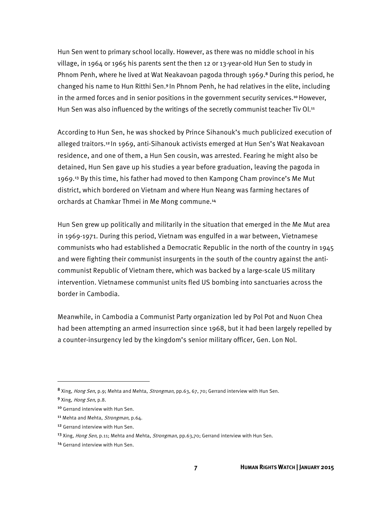Hun Sen went to primary school locally. However, as there was no middle school in his village, in 1964 or 1965 his parents sent the then 12 or 13-year-old Hun Sen to study in Phnom Penh, where he lived at Wat Neakavoan pagoda through 1969.8 During this period, he changed his name to Hun Ritthi Sen.9 In Phnom Penh, he had relatives in the elite, including in the armed forces and in senior positions in the government security services.<sup>10</sup> However, Hun Sen was also influenced by the writings of the secretly communist teacher Tiv Ol.<sup>11</sup>

According to Hun Sen, he was shocked by Prince Sihanouk's much publicized execution of alleged traitors.12 In 1969, anti-Sihanouk activists emerged at Hun Sen's Wat Neakavoan residence, and one of them, a Hun Sen cousin, was arrested. Fearing he might also be detained, Hun Sen gave up his studies a year before graduation, leaving the pagoda in 1969.13 By this time, his father had moved to then Kampong Cham province's Me Mut district, which bordered on Vietnam and where Hun Neang was farming hectares of orchards at Chamkar Thmei in Me Mong commune.14

Hun Sen grew up politically and militarily in the situation that emerged in the Me Mut area in 1969-1971. During this period, Vietnam was engulfed in a war between, Vietnamese communists who had established a Democratic Republic in the north of the country in 1945 and were fighting their communist insurgents in the south of the country against the anticommunist Republic of Vietnam there, which was backed by a large-scale US military intervention. Vietnamese communist units fled US bombing into sanctuaries across the border in Cambodia.

Meanwhile, in Cambodia a Communist Party organization led by Pol Pot and Nuon Chea had been attempting an armed insurrection since 1968, but it had been largely repelled by a counter-insurgency led by the kingdom's senior military officer, Gen. Lon Nol.

 $\overline{a}$ 

<sup>8</sup> Xing, Hong Sen, p.9; Mehta and Mehta, Strongman, pp.63, 67, 70; Gerrand interview with Hun Sen.

<sup>9</sup> Xing, Hong Sen, p.8.

<sup>10</sup> Gerrand interview with Hun Sen.

<sup>&</sup>lt;sup>11</sup> Mehta and Mehta, Strongman, p.64.

<sup>12</sup> Gerrand interview with Hun Sen.

<sup>&</sup>lt;sup>13</sup> Xing, Hong Sen, p.11; Mehta and Mehta, Strongman, pp.63,70; Gerrand interview with Hun Sen.

<sup>14</sup> Gerrand interview with Hun Sen.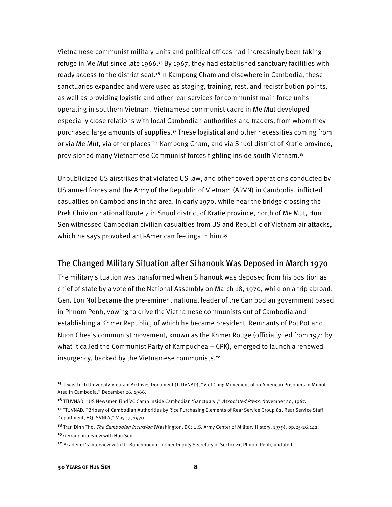Vietnamese communist military units and political offices had increasingly been taking refuge in Me Mut since late 1966.<sup>15</sup> By 1967, they had established sanctuary facilities with ready access to the district seat.<sup>16</sup> In Kampong Cham and elsewhere in Cambodia, these sanctuaries expanded and were used as staging, training, rest, and redistribution points, as well as providing logistic and other rear services for communist main force units operating in southern Vietnam. Vietnamese communist cadre in Me Mut developed especially close relations with local Cambodian authorities and traders, from whom they purchased large amounts of supplies.<sup>17</sup> These logistical and other necessities coming from or via Me Mut, via other places in Kampong Cham, and via Snuol district of Kratie province, provisioned many Vietnamese Communist forces fighting inside south Vietnam.<sup>18</sup>

Unpublicized US airstrikes that violated US law, and other covert operations conducted by US armed forces and the Army of the Republic of Vietnam (ARVN) in Cambodia, inflicted casualties on Cambodians in the area. In early 1970, while near the bridge crossing the Prek Chriv on national Route 7 in Snuol district of Kratie province, north of Me Mut, Hun Sen witnessed Cambodian civilian casualties from US and Republic of Vietnam air attacks, which he says provoked anti-American feelings in him.<sup>19</sup>

#### The Changed Military Situation after Sihanouk Was Deposed in March 1970

The military situation was transformed when Sihanouk was deposed from his position as chief of state by a vote of the National Assembly on March 18, 1970, while on a trip abroad. Gen. Lon Nol became the pre-eminent national leader of the Cambodian government based in Phnom Penh, vowing to drive the Vietnamese communists out of Cambodia and establishing a Khmer Republic, of which he became president. Remnants of Pol Pot and Nuon Chea's communist movement, known as the Khmer Rouge (officially led from 1971 by what it called the Communist Party of Kampuchea – CPK), emerged to launch a renewed insurgency, backed by the Vietnamese communists.20

<sup>15</sup> Texas Tech University Vietnam Archives Document (TTUVNAD), "Viet Cong Movement of 10 American Prisoners in Mimot Area in Cambodia," December 26, 1966.

<sup>&</sup>lt;sup>16</sup> TTUVNAD, "US Newsmen Find VC Camp Inside Cambodian 'Sanctuary'," Associated Press, November 20, 1967.

<sup>17</sup> TTUVNAD, "Bribery of Cambodian Authorities by Rice Purchasing Elements of Rear Service Group 82, Rear Service Staff Department, HQ, SVNLA," May 17, 1970.

<sup>18</sup> Tran Dinh Tho, *The Cambodian Incursion* (Washington, DC: U.S. Army Center of Military History, 1979), pp.25-26,142. <sup>19</sup> Gerrand interview with Hun Sen.

<sup>&</sup>lt;sup>20</sup> Academic's interview with Uk Bunchhoeun, former Deputy Secretary of Sector 21, Phnom Penh, undated.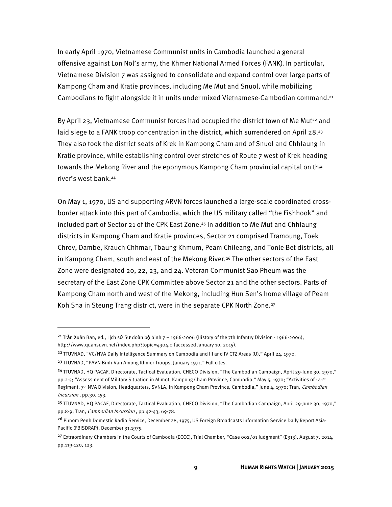In early April 1970, Vietnamese Communist units in Cambodia launched a general offensive against Lon Nol's army, the Khmer National Armed Forces (FANK). In particular, Vietnamese Division 7 was assigned to consolidate and expand control over large parts of Kampong Cham and Kratie provinces, including Me Mut and Snuol, while mobilizing Cambodians to fight alongside it in units under mixed Vietnamese-Cambodian command.21

By April 23, Vietnamese Communist forces had occupied the district town of Me Mut<sup>22</sup> and laid siege to a FANK troop concentration in the district, which surrendered on April 28.<sup>23</sup> They also took the district seats of Krek in Kampong Cham and of Snuol and Chhlaung in Kratie province, while establishing control over stretches of Route 7 west of Krek heading towards the Mekong River and the eponymous Kampong Cham provincial capital on the river's west bank.24

On May 1, 1970, US and supporting ARVN forces launched a large-scale coordinated crossborder attack into this part of Cambodia, which the US military called "the Fishhook" and included part of Sector 21 of the CPK East Zone.<sup>25</sup> In addition to Me Mut and Chhlaung districts in Kampong Cham and Kratie provinces, Sector 21 comprised Tramoung, Toek Chrov, Dambe, Krauch Chhmar, Tbaung Khmum, Peam Chileang, and Tonle Bet districts, all in Kampong Cham, south and east of the Mekong River.<sup>26</sup> The other sectors of the East Zone were designated 20, 22, 23, and 24. Veteran Communist Sao Pheum was the secretary of the East Zone CPK Committee above Sector 21 and the other sectors. Parts of Kampong Cham north and west of the Mekong, including Hun Sen's home village of Peam Koh Sna in Steung Trang district, were in the separate CPK North Zone.<sup>27</sup>

l

<sup>&</sup>lt;sup>21</sup> Trần Xuân Ban, ed., Lịch sử Sư đoàn bộ binh  $7 - 1966$ -2006 (History of the 7th Infantry Division - 1966-2006), http://www.quansuvn.net/index.php?topic=4304.0 (accessed January 10, 2015).

<sup>&</sup>lt;sup>22</sup> TTUVNAD, "VC/NVA Daily Intelligence Summary on Cambodia and III and IV CTZ Areas (U)," April 24, 1970.

<sup>&</sup>lt;sup>23</sup> TTUVNAD, "PAVN Binh-Van Among Khmer Troops, January 1971." Full cites.

<sup>24</sup>TTUVNAD, HQ PACAF, Directorate, Tactical Evaluation, CHECO Division, "The Cambodian Campaign, April 29-June 30, 1970," pp.2-5; "Assessment of Military Situation in Mimot, Kampong Cham Province, Cambodia," May 5, 1970; "Activities of 141st Regiment, 7<sup>th</sup> NVA Division, Headquarters, SVNLA, in Kampong Cham Province, Cambodia," June 4, 1970; Tran, Cambodian Incursion , pp.30, 153.

<sup>25</sup> TTUVNAD, HQ PACAF, Directorate, Tactical Evaluation, CHECO Division, "The Cambodian Campaign, April 29-June 30, 1970," pp.8-9; Tran, Cambodian Incursion, pp.42-43, 69-78.

<sup>26</sup> Phnom Penh Domestic Radio Service, December 28, 1975, US Foreign Broadcasts Information Service Daily Report Asia-Pacific (FBISDRAP), December 31,1975.

<sup>&</sup>lt;sup>27</sup> Extraordinary Chambers in the Courts of Cambodia (ECCC), Trial Chamber, "Case 002/01 Judgment" (E313), August 7, 2014, pp.119-120, 123.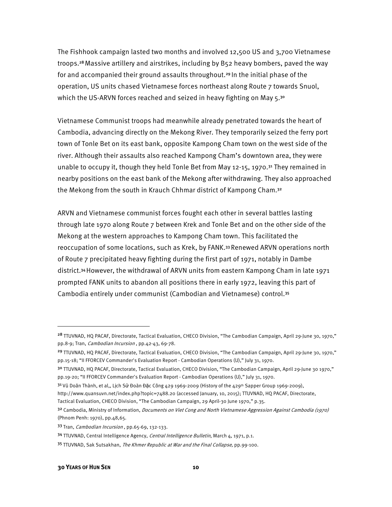The Fishhook campaign lasted two months and involved 12,500 US and 3,700 Vietnamese troops.28 Massive artillery and airstrikes, including by B52 heavy bombers, paved the way for and accompanied their ground assaults throughout.29 In the initial phase of the operation, US units chased Vietnamese forces northeast along Route 7 towards Snuol, which the US-ARVN forces reached and seized in heavy fighting on May 5.<sup>30</sup>

Vietnamese Communist troops had meanwhile already penetrated towards the heart of Cambodia, advancing directly on the Mekong River. They temporarily seized the ferry port town of Tonle Bet on its east bank, opposite Kampong Cham town on the west side of the river. Although their assaults also reached Kampong Cham's downtown area, they were unable to occupy it, though they held Tonle Bet from May 12-15, 1970.<sup>31</sup> They remained in nearby positions on the east bank of the Mekong after withdrawing. They also approached the Mekong from the south in Krauch Chhmar district of Kampong Cham.<sup>32</sup>

ARVN and Vietnamese communist forces fought each other in several battles lasting through late 1970 along Route 7 between Krek and Tonle Bet and on the other side of the Mekong at the western approaches to Kampong Cham town. This facilitated the reoccupation of some locations, such as Krek, by FANK.33 Renewed ARVN operations north of Route 7 precipitated heavy fighting during the first part of 1971, notably in Dambe district.34 However, the withdrawal of ARVN units from eastern Kampong Cham in late 1971 prompted FANK units to abandon all positions there in early 1972, leaving this part of Cambodia entirely under communist (Cambodian and Vietnamese) control.35

<sup>&</sup>lt;sup>28</sup> TTUVNAD, HQ PACAF, Directorate, Tactical Evaluation, CHECO Division, "The Cambodian Campaign, April 29-June 30, 1970," pp.8-9; Tran, *Cambodian Incursion*, pp.42-43, 69-78.

<sup>29</sup> TTUVNAD, HQ PACAF, Directorate, Tactical Evaluation, CHECO Division, "The Cambodian Campaign, April 29-June 30, 1970," pp.15-18; "II FFORCEV Commander's Evaluation Report - Cambodian Operations (U)," July 31, 1970.

<sup>3</sup>º TTUVNAD, HQ PACAF, Directorate, Tactical Evaluation, CHECO Division, "The Cambodian Campaign, April 29-June 30 1970," pp.19-20; "II FFORCEV Commander's Evaluation Report - Cambodian Operations (U)," July 31, 1970.

 $31$ Vũ Doãn Thành, et al., Lich Sử Đoàn Đặc Công 429 1969-2009 (History of the 429<sup>th</sup> Sapper Group 1969-2009), http://www.quansuvn.net/index.php?topic=7488.20 (accessed January, 10, 2015); TTUVNAD, HQ PACAF, Directorate, Tactical Evaluation, CHECO Division, "The Cambodian Campaign, 29 April-30 June 1970," p.35.

<sup>3&</sup>lt;sup>2</sup> Cambodia, Ministry of Information, *Documents on Viet Cong and North Vietnamese Aggression Against Cambodia (1970)* (Phnom Penh: 1970), pp.48,65.

<sup>33</sup> Tran, *Cambodian Incursion*, pp.65-69, 132-133.

<sup>34</sup> TTUVNAD, Central Intelligence Agency, Central Intelligence Bulletin, March 4, 1971, p.1.

<sup>35</sup> TTUVNAD, Sak Sutsakhan, The Khmer Republic at War and the Final Collapse, pp.99-100.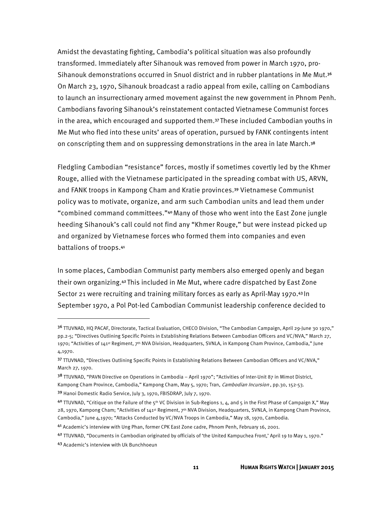Amidst the devastating fighting, Cambodia's political situation was also profoundly transformed. Immediately after Sihanouk was removed from power in March 1970, pro-Sihanouk demonstrations occurred in Snuol district and in rubber plantations in Me Mut.36 On March 23, 1970, Sihanouk broadcast a radio appeal from exile, calling on Cambodians to launch an insurrectionary armed movement against the new government in Phnom Penh. Cambodians favoring Sihanouk's reinstatement contacted Vietnamese Communist forces in the area, which encouraged and supported them.37 These included Cambodian youths in Me Mut who fled into these units' areas of operation, pursued by FANK contingents intent on conscripting them and on suppressing demonstrations in the area in late March.<sup>38</sup>

Fledgling Cambodian "resistance" forces, mostly if sometimes covertly led by the Khmer Rouge, allied with the Vietnamese participated in the spreading combat with US, ARVN, and FANK troops in Kampong Cham and Kratie provinces.39 Vietnamese Communist policy was to motivate, organize, and arm such Cambodian units and lead them under "combined command committees."40 Many of those who went into the East Zone jungle heeding Sihanouk's call could not find any "Khmer Rouge," but were instead picked up and organized by Vietnamese forces who formed them into companies and even battalions of troops.41

In some places, Cambodian Communist party members also emerged openly and began their own organizing.42 This included in Me Mut, where cadre dispatched by East Zone Sector 21 were recruiting and training military forces as early as April-May 1970.43 In September 1970, a Pol Pot-led Cambodian Communist leadership conference decided to

<sup>&</sup>lt;sup>36</sup> TTUVNAD, HQ PACAF, Directorate, Tactical Evaluation, CHECO Division, "The Cambodian Campaign, April 29-June 30 1970," pp.2-5; "Directives Outlining Specific Points in Establishing Relations Between Cambodian Officers and VC/NVA," March 27, 1970; "Activities of 141<sup>st</sup> Regiment, 7<sup>th</sup> NVA Division, Headquarters, SVNLA, in Kampong Cham Province, Cambodia," June 4,1970.

<sup>37</sup> TTUVNAD, "Directives Outlining Specific Points in Establishing Relations Between Cambodian Officers and VC/NVA," March 27, 1970.

<sup>38</sup> TTUVNAD, "PAVN Directive on Operations in Cambodia – April 1970"; "Activities of Inter-Unit 87 in Mimot District, Kampong Cham Province, Cambodia," Kampong Cham, May 5, 1970; Tran, Cambodian Incursion, pp.30, 152-53. <sup>39</sup> Hanoi Domestic Radio Service, July 3, 1970, FBISDRAP, July 7, 1970.

<sup>40</sup> TTUVNAD, "Critique on the Failure of the 5<sup>th</sup> VC Division in Sub-Regions 1, 4, and 5 in the First Phase of Campaign X," May 28, 1970, Kampong Cham; "Activities of 141<sup>st</sup> Regiment, 7<sup>th</sup> NVA Division, Headquarters, SVNLA, in Kampong Cham Province, Cambodia," June 4,1970; "Attacks Conducted by VC/NVA Troops in Cambodia," May 18, 1970, Cambodia.

<sup>41</sup> Academic's interview with Ung Phan, former CPK East Zone cadre, Phnom Penh, February 16, 2001.

<sup>42</sup> TTUVNAD, "Documents in Cambodian originated by officials of 'the United Kampuchea Front,' April 19 to May 1, 1970." 43 Academic's interview with Uk Bunchhoeun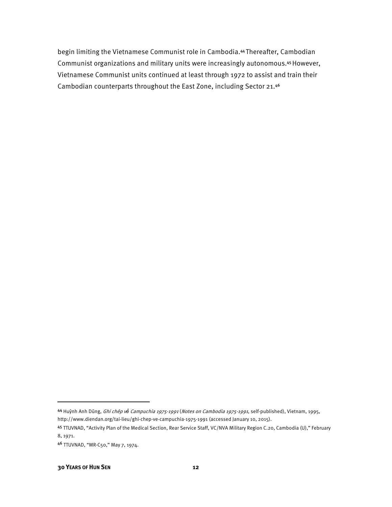begin limiting the Vietnamese Communist role in Cambodia.44 Thereafter, Cambodian Communist organizations and military units were increasingly autonomous.45 However, Vietnamese Communist units continued at least through 1972 to assist and train their Cambodian counterparts throughout the East Zone, including Sector 21.46

 $\overline{\phantom{a}}$ 

<sup>44</sup> Huỳnh Anh Dũng, Ghi chép v*ề* Campuchia 1975-1991 (Notes on Cambodia 1975-1991, self-published), Vietnam, 1995, http://www.diendan.org/tai-lieu/ghi-chep-ve-campuchia-1975-1991 (accessed January 10, 2015).

<sup>45</sup> TTUVNAD, "Activity Plan of the Medical Section, Rear Service Staff, VC/NVA Military Region C.20, Cambodia (U)," February 8, 1971.

<sup>46</sup> TTUVNAD, "MR-C50," May 7, 1974.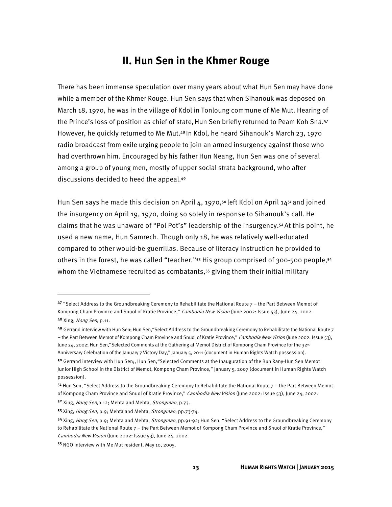## **II. Hun Sen in the Khmer Rouge**

There has been immense speculation over many years about what Hun Sen may have done while a member of the Khmer Rouge. Hun Sen says that when Sihanouk was deposed on March 18, 1970, he was in the village of Kdol in Tonloung commune of Me Mut. Hearing of the Prince's loss of position as chief of state, Hun Sen briefly returned to Peam Koh Sna.<sup>47</sup> However, he quickly returned to Me Mut.48 In Kdol, he heard Sihanouk's March 23, 1970 radio broadcast from exile urging people to join an armed insurgency against those who had overthrown him. Encouraged by his father Hun Neang, Hun Sen was one of several among a group of young men, mostly of upper social strata background, who after discussions decided to heed the appeal.49

Hun Sen says he made this decision on April 4, 1970,<sup>50</sup> left Kdol on April 14<sup>51</sup> and joined the insurgency on April 19, 1970, doing so solely in response to Sihanouk's call. He claims that he was unaware of "Pol Pot's" leadership of the insurgency.52 At this point, he used a new name, Hun Samrech. Though only 18, he was relatively well-educated compared to other would-be guerrillas. Because of literacy instruction he provided to others in the forest, he was called "teacher."53 His group comprised of 300-500 people,54 whom the Vietnamese recruited as combatants,<sup>55</sup> giving them their initial military

 $47$  "Select Address to the Groundbreaking Ceremony to Rehabilitate the National Route  $7$  – the Part Between Memot of Kompong Cham Province and Snuol of Kratie Province," Cambodia New Vision (June 2002: Issue 53), June 24, 2002. 48 Xing, Hong Sen, p.11.

<sup>49</sup> Gerrand interview with Hun Sen; Hun Sen, "Select Address to the Groundbreaking Ceremony to Rehabilitate the National Route 7 – the Part Between Memot of Kompong Cham Province and Snuol of Kratie Province," Cambodia New Vision (June 2002: Issue 53), June 24, 2002; Hun Sen, "Selected Comments at the Gathering at Memot District of Kompong Cham Province for the 32<sup>nd</sup> Anniversary Celebration of the January 7 Victory Day," January 5, 2011 (document in Human Rights Watch possession).

<sup>50</sup> Gerrand interview with Hun Sen;, Hun Sen,"Selected Comments at the Inauguration of the Bun Rany-Hun Sen Memot Junior High School in the District of Memot, Kompong Cham Province," January 5, 2007 (document in Human Rights Watch possession).

 $51$  Hun Sen, "Select Address to the Groundbreaking Ceremony to Rehabilitate the National Route  $7$  – the Part Between Memot of Kompong Cham Province and Snuol of Kratie Province," Cambodia New Vision (June 2002: Issue 53), June 24, 2002.

<sup>52</sup> Xing, Hong Sen, p.12; Mehta and Mehta, Strongman, p.73.

<sup>53</sup> Xing, Hong Sen, p.9; Mehta and Mehta, Strongman, pp.73-74.

<sup>54</sup> Xing, Hong Sen, p.9; Mehta and Mehta, Strongman, pp.91-92; Hun Sen, "Select Address to the Groundbreaking Ceremony to Rehabilitate the National Route 7 – the Part Between Memot of Kompong Cham Province and Snuol of Kratie Province," Cambodia New Vision (June 2002: Issue 53), June 24, 2002.

<sup>55</sup> NGO interview with Me Mut resident, May 10, 2005.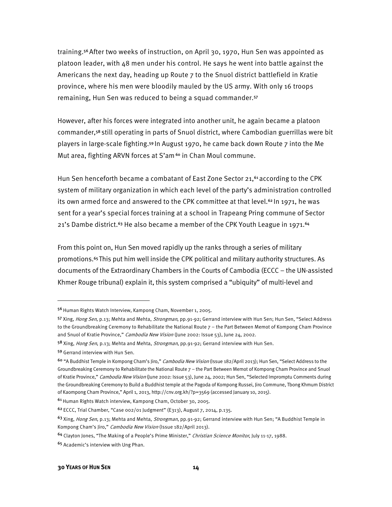training.56 After two weeks of instruction, on April 30, 1970, Hun Sen was appointed as platoon leader, with 48 men under his control. He says he went into battle against the Americans the next day, heading up Route 7 to the Snuol district battlefield in Kratie province, where his men were bloodily mauled by the US army. With only 16 troops remaining, Hun Sen was reduced to being a squad commander.57

However, after his forces were integrated into another unit, he again became a platoon commander,58 still operating in parts of Snuol district, where Cambodian guerrillas were bit players in large-scale fighting.59 In August 1970, he came back down Route 7 into the Me Mut area, fighting ARVN forces at S'am<sup>60</sup> in Chan Moul commune.

Hun Sen henceforth became a combatant of East Zone Sector 21,<sup>61</sup> according to the CPK system of military organization in which each level of the party's administration controlled its own armed force and answered to the CPK committee at that level.<sup>62</sup> In 1971, he was sent for a year's special forces training at a school in Trapeang Pring commune of Sector 21's Dambe district.<sup>63</sup> He also became a member of the CPK Youth League in 1971.<sup>64</sup>

From this point on, Hun Sen moved rapidly up the ranks through a series of military promotions.65 This put him well inside the CPK political and military authority structures. As documents of the Extraordinary Chambers in the Courts of Cambodia (ECCC – the UN-assisted Khmer Rouge tribunal) explain it, this system comprised a "ubiquity" of multi-level and

l

<sup>56</sup> Human Rights Watch Interview, Kampong Cham, November 1, 2005.

<sup>57</sup> Xing, Hong Sen, p.13; Mehta and Mehta, Strongman, pp.91-92; Gerrand interview with Hun Sen; Hun Sen, "Select Address to the Groundbreaking Ceremony to Rehabilitate the National Route 7 - the Part Between Memot of Kompong Cham Province and Snuol of Kratie Province," Cambodia New Vision (June 2002: Issue 53), June 24, 2002.

<sup>58</sup> Xing, *Hong Sen*, p.13; Mehta and Mehta, *Strongman*, pp.91-92; Gerrand interview with Hun Sen.

<sup>59</sup> Gerrand interview with Hun Sen.

<sup>&</sup>lt;sup>60</sup> "A Buddhist Temple in Kompong Cham's Jiro," *Cambodia New Vision* (Issue 182/April 2013); Hun Sen, "Select Address to the Groundbreaking Ceremony to Rehabilitate the National Route 7 – the Part Between Memot of Kompong Cham Province and Snuol of Kratie Province," Cambodia New Vision (June 2002: Issue 53), June 24, 2002; Hun Sen, "Selected Impromptu Comments during the Groundbreaking Ceremony to Build a Buddhist temple at the Pagoda of Kompong Russei, Jiro Commune, Tbong Khmum District of Kaompong Cham Province," April 1, 2013, http://cnv.org.kh/?p=3569 (accessed January 10, 2015).

<sup>61</sup>Human Rights Watch interview, Kampong Cham, October 30, 2005.

<sup>62</sup>ECCC, Trial Chamber, "Case 002/01 Judgment" (E313), August 7, 2014, p.135.

<sup>&</sup>lt;sup>63</sup> Xing, Hong Sen, p.13; Mehta and Mehta, Strongman, pp.91-92; Gerrand interview with Hun Sen; "A Buddhist Temple in Kompong Cham's Jiro," Cambodia New Vision (Issue 182/April 2013).

<sup>&</sup>lt;sup>64</sup> Clayton Jones, "The Making of a People's Prime Minister," Christian Science Monitor, July 11-17, 1988.

<sup>65</sup> Academic's interview with Ung Phan.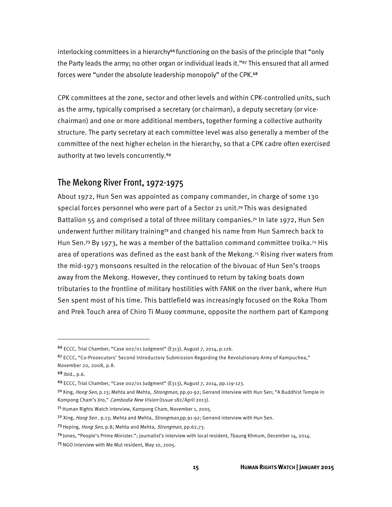interlocking committees in a hierarchy<sup>66</sup> functioning on the basis of the principle that "only the Party leads the army; no other organ or individual leads it."<sup>67</sup> This ensured that all armed forces were "under the absolute leadership monopoly" of the CPK.<sup>68</sup>

CPK committees at the zone, sector and other levels and within CPK-controlled units, such as the army, typically comprised a secretary (or chairman), a deputy secretary (or vicechairman) and one or more additional members, together forming a collective authority structure. The party secretary at each committee level was also generally a member of the committee of the next higher echelon in the hierarchy, so that a CPK cadre often exercised authority at two levels concurrently.<sup>69</sup>

#### The Mekong River Front, 1972-1975

About 1972, Hun Sen was appointed as company commander, in charge of some 130 special forces personnel who were part of a Sector 21 unit.<sup>70</sup> This was designated Battalion 55 and comprised a total of three military companies.71 In late 1972, Hun Sen underwent further military training72 and changed his name from Hun Samrech back to Hun Sen.<sup>73</sup> By 1973, he was a member of the battalion command committee troika.<sup>74</sup> His area of operations was defined as the east bank of the Mekong.75 Rising river waters from the mid-1973 monsoons resulted in the relocation of the bivouac of Hun Sen's troops away from the Mekong. However, they continued to return by taking boats down tributaries to the frontline of military hostilities with FANK on the river bank, where Hun Sen spent most of his time. This battlefield was increasingly focused on the Roka Thom and Prek Touch area of Chiro Ti Muoy commune, opposite the northern part of Kampong

 $\overline{a}$ 

<sup>66</sup> ECCC, Trial Chamber, "Case 002/01 Judgment" (E313), August 7, 2014, p.126.

<sup>67</sup> ECCC, "Co-Prosecutors' Second Introductory Submission Regarding the Revolutionary Army of Kampuchea," November 20, 2008, p.8.

<sup>68</sup> Ibid., p.6.

<sup>69</sup> ECCC, Trial Chamber, "Case 002/01 Judgment" (E313), August 7, 2014, pp.119-123.

<sup>&</sup>lt;sup>70</sup>Xing, Hong Sen, p.13; Mehta and Mehta, Strongman, pp.91-92; Gerrand interview with Hun Sen; "A Buddhist Temple in Kompong Cham's Jiro," Cambodia New Vision (Issue 182/April 2013).

<sup>7&</sup>lt;sup>1</sup> Human Rights Watch interview, Kampong Cham, November 1, 2005.

<sup>72</sup> Xing, Hong Sen. p.13; Mehta and Mehta, Strongman,pp.91-92; Gerrand interview with Hun Sen.

<sup>73</sup> Heping, *Hong Sen*, p.8; Mehta and Mehta, *Strongman*, pp.62,73.

<sup>74</sup> Jones, "People's Prime Minister."; journalist's interview with local resident, Tbaung Khmum, December 14, 2014.

<sup>75</sup> NGO interview with Me Mut resident, May 10, 2005.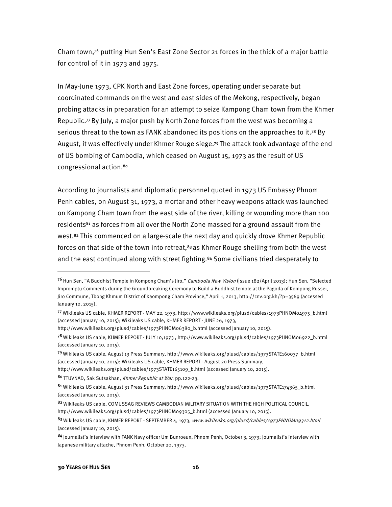Cham town,<sup>76</sup> putting Hun Sen's East Zone Sector 21 forces in the thick of a major battle for control of it in 1973 and 1975.

In May-June 1973, CPK North and East Zone forces, operating under separate but coordinated commands on the west and east sides of the Mekong, respectively, began probing attacks in preparation for an attempt to seize Kampong Cham town from the Khmer Republic.77 By July, a major push by North Zone forces from the west was becoming a serious threat to the town as FANK abandoned its positions on the approaches to it.<sup>78</sup> By August, it was effectively under Khmer Rouge siege.79 The attack took advantage of the end of US bombing of Cambodia, which ceased on August 15, 1973 as the result of US congressional action.80

According to journalists and diplomatic personnel quoted in 1973 US Embassy Phnom Penh cables, on August 31, 1973, a mortar and other heavy weapons attack was launched on Kampong Cham town from the east side of the river, killing or wounding more than 100 residents<sup>81</sup> as forces from all over the North Zone massed for a ground assault from the west.<sup>82</sup> This commenced on a large-scale the next day and quickly drove Khmer Republic forces on that side of the town into retreat, $83$  as Khmer Rouge shelling from both the west and the east continued along with street fighting.<sup>84</sup> Some civilians tried desperately to

http://www.wikileaks.org/plusd/cables/1973PHNOM06380\_b.html (accessed January 10, 2015).

http://www.wikileaks.org/plusd/cables/1973STATE165109\_b.html (accessed January 10, 2015).

80 TTUVNAD, Sak Sutsakhan, Khmer Republic at War, pp.122-23.

<sup>&</sup>lt;sup>76</sup> Hun Sen, "A Buddhist Temple in Kompong Cham's Jiro," *Cambodia New Vision* (Issue 182/April 2013); Hun Sen, "Selected Impromptu Comments during the Groundbreaking Ceremony to Build a Buddhist temple at the Pagoda of Kompong Russei, Jiro Commune, Tbong Khmum District of Kaompong Cham Province," April 1, 2013, http://cnv.org.kh/?p=3569 (accessed January 10, 2015).

<sup>77</sup>Wikileaks US cable, KHMER REPORT - MAY 22, 1973, http://www.wikileaks.org/plusd/cables/1973PHNOM04975\_b.html (accessed January 10, 2015); Wikileaks US cable, KHMER REPORT - JUNE 26, 1973,

<sup>78</sup>Wikileaks US cable, KHMER REPORT - JULY 10,1973 , http://www.wikileaks.org/plusd/cables/1973PHNOM06922\_b.html (accessed January 10, 2015).

<sup>79</sup>Wikileaks US cable, August 13 Press Summary, http://www.wikileaks.org/plusd/cables/1973STATE160037\_b.html (accessed January 10, 2015); Wikileaks US cable, KHMER REPORT - August 20 Press Summary,

<sup>81</sup> Wikileaks US cable, August 31 Press Summary, http://www.wikileaks.org/plusd/cables/1973STATE174365\_b.html (accessed January 10, 2015).

<sup>82</sup> Wikileaks US cable, COMUSSAG REVIEWS CAMBODIAN MILITARY SITUATION WITH THE HIGH POLITICAL COUNCIL, http://www.wikileaks.org/plusd/cables/1973PHNOM09305\_b.html (accessed January 10, 2015).

<sup>83</sup> Wikileaks US cable, KHMER REPORT - SEPTEMBER 4, 1973, www.wikileaks.org/plusd/cables/1973PHNOM09312.html (accessed January 10, 2015).

<sup>84</sup> Journalist's interview with FANK Navy officer Um Bunroeun, Phnom Penh, October 3, 1973; Journalist's interview with Japanese military attache, Phnom Penh, October 20, 1973.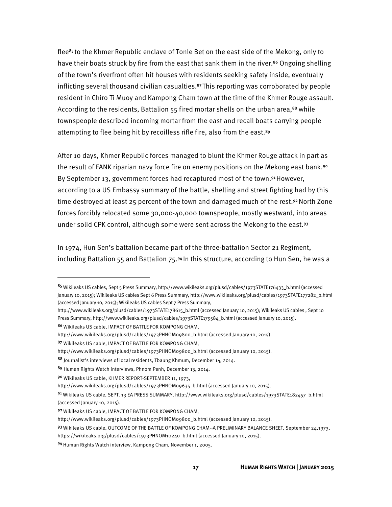flee<sup>85</sup> to the Khmer Republic enclave of Tonle Bet on the east side of the Mekong, only to have their boats struck by fire from the east that sank them in the river.<sup>86</sup> Ongoing shelling of the town's riverfront often hit houses with residents seeking safety inside, eventually inflicting several thousand civilian casualties.87 This reporting was corroborated by people resident in Chiro Ti Muoy and Kampong Cham town at the time of the Khmer Rouge assault. According to the residents, Battalion  $55$  fired mortar shells on the urban area,<sup>88</sup> while townspeople described incoming mortar from the east and recall boats carrying people attempting to flee being hit by recoilless rifle fire, also from the east.<sup>89</sup>

After 10 days, Khmer Republic forces managed to blunt the Khmer Rouge attack in part as the result of FANK riparian navy force fire on enemy positions on the Mekong east bank.<sup>90</sup> By September 13, government forces had recaptured most of the town.<sup>91</sup> However, according to a US Embassy summary of the battle, shelling and street fighting had by this time destroyed at least 25 percent of the town and damaged much of the rest.<sup>92</sup> North Zone forces forcibly relocated some 30,000-40,000 townspeople, mostly westward, into areas under solid CPK control, although some were sent across the Mekong to the east.93

In 1974, Hun Sen's battalion became part of the three-battalion Sector 21 Regiment, including Battalion 55 and Battalion 75.94 In this structure, according to Hun Sen, he was a

http://www.wikileaks.org/plusd/cables/1973STATE178615\_b.html (accessed January 10, 2015); Wikileaks US cables , Sept 10 Press Summary, http://www.wikileaks.org/plusd/cables/1973STATE179584\_b.html (accessed January 10, 2015).

86 Wikileaks US cable, IMPACT OF BATTLE FOR KOMPONG CHAM,

 $\overline{a}$ 

<sup>85</sup> Wikileaks US cables, Sept 5 Press Summary, http://www.wikileaks.org/plusd/cables/1973STATE176433\_b.html (accessed January 10, 2015); Wikileaks US cables Sept 6 Press Summary, http://www.wikileaks.org/plusd/cables/1973STATE177282\_b.html (accessed January 10, 2015); Wikileaks US cables Sept 7 Press Summary,

http://www.wikileaks.org/plusd/cables/1973PHNOM09800\_b.html (accessed January 10, 2015).

<sup>87</sup> Wikileaks US cable, IMPACT OF BATTLE FOR KOMPONG CHAM,

http://www.wikileaks.org/plusd/cables/1973PHNOM09800\_b.html (accessed January 10, 2015).

<sup>88</sup> Journalist's interviews of local residents, Tbaung Khmum, December 14, 2014.

<sup>89</sup> Human Rights Watch interviews, Phnom Penh, December 13, 2014.

<sup>90</sup> Wikileaks US cable, KHMER REPORT-SEPTEMBER 11, 1973,

http://www.wikileaks.org/plusd/cables/1973PHNOM09635\_b.html (accessed January 10, 2015).

<sup>91</sup> Wikileaks US cable, SEPT. 13 EA PRESS SUMMARY, http://www.wikileaks.org/plusd/cables/1973STATE182457\_b.html (accessed January 10, 2015).

<sup>92</sup> Wikileaks US cable, IMPACT OF BATTLE FOR KOMPONG CHAM,

http://www.wikileaks.org/plusd/cables/1973PHNOM09800\_b.html (accessed January 10, 2015).

<sup>93</sup> Wikileaks US cable, OUTCOME OF THE BATTLE OF KOMPONG CHAM--A PRELIMINARY BALANCE SHEET, September 24,1973,

https://wikileaks.org/plusd/cables/1973PHNOM10240\_b.html (accessed January 10, 2015).

<sup>94</sup> Human Rights Watch interview, Kampong Cham, November 1, 2005.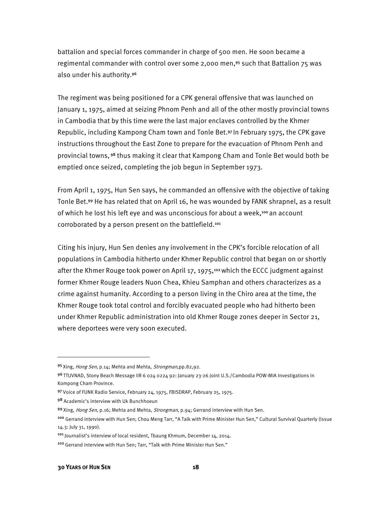battalion and special forces commander in charge of 500 men. He soon became a regimental commander with control over some 2,000 men,95 such that Battalion 75 was also under his authority.96

The regiment was being positioned for a CPK general offensive that was launched on January 1, 1975, aimed at seizing Phnom Penh and all of the other mostly provincial towns in Cambodia that by this time were the last major enclaves controlled by the Khmer Republic, including Kampong Cham town and Tonle Bet.97 In February 1975, the CPK gave instructions throughout the East Zone to prepare for the evacuation of Phnom Penh and provincial towns, 98 thus making it clear that Kampong Cham and Tonle Bet would both be emptied once seized, completing the job begun in September 1973.

From April 1, 1975, Hun Sen says, he commanded an offensive with the objective of taking Tonle Bet.99 He has related that on April 16, he was wounded by FANK shrapnel, as a result of which he lost his left eye and was unconscious for about a week, $100$  an account corroborated by a person present on the battlefield.101

Citing his injury, Hun Sen denies any involvement in the CPK's forcible relocation of all populations in Cambodia hitherto under Khmer Republic control that began on or shortly after the Khmer Rouge took power on April 17, 1975,<sup>102</sup> which the ECCC judgment against former Khmer Rouge leaders Nuon Chea, Khieu Samphan and others characterizes as a crime against humanity. According to a person living in the Chiro area at the time, the Khmer Rouge took total control and forcibly evacuated people who had hitherto been under Khmer Republic administration into old Khmer Rouge zones deeper in Sector 21, where deportees were very soon executed.

 $\overline{\phantom{a}}$ 

<sup>95</sup> Xing, Hong Sen, p.14; Mehta and Mehta, Strongman,pp.82,92.

<sup>96</sup>TTUVNAD, Stony Beach Message IIR 6 024 0224 92: January 23-26 Joint U.S./Cambodia POW-MIA Investigations in Kompong Cham Province.

<sup>97</sup> Voice of FUNK Radio Service, February 24, 1975, FBISDRAP, February 25, 1975.

<sup>98</sup> Academic's interview with Uk Bunchhoeun

<sup>99</sup> Xing, Hong Sen, p.16; Mehta and Mehta, Strongman, p.94; Gerrand interview with Hun Sen.

<sup>100</sup> Gerrand interview with Hun Sen; Chou Meng Tarr, "A Talk with Prime Minister Hun Sen," Cultural Survival Quarterly (Issue 14.3: July 31, 1990).

<sup>&</sup>lt;sup>101</sup> Journalist's interview of local resident, Tbaung Khmum, December 14, 2014.

<sup>102</sup> Gerrand interview with Hun Sen; Tarr, "Talk with Prime Minister Hun Sen."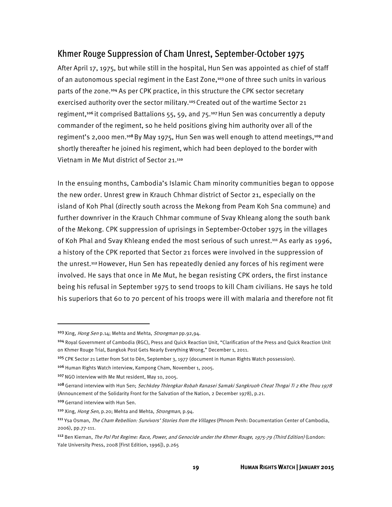### Khmer Rouge Suppression of Cham Unrest, September-October 1975

After April 17, 1975, but while still in the hospital, Hun Sen was appointed as chief of staff of an autonomous special regiment in the East Zone,103 one of three such units in various parts of the zone.104 As per CPK practice, in this structure the CPK sector secretary exercised authority over the sector military.<sup>105</sup> Created out of the wartime Sector 21 regiment,<sup>106</sup> it comprised Battalions 55, 59, and 75.<sup>107</sup> Hun Sen was concurrently a deputy commander of the regiment, so he held positions giving him authority over all of the regiment's 2,000 men.<sup>108</sup> By May 1975, Hun Sen was well enough to attend meetings,<sup>109</sup> and shortly thereafter he joined his regiment, which had been deployed to the border with Vietnam in Me Mut district of Sector 21.110

In the ensuing months, Cambodia's Islamic Cham minority communities began to oppose the new order. Unrest grew in Krauch Chhmar district of Sector 21, especially on the island of Koh Phal (directly south across the Mekong from Peam Koh Sna commune) and further downriver in the Krauch Chhmar commune of Svay Khleang along the south bank of the Mekong. CPK suppression of uprisings in September-October 1975 in the villages of Koh Phal and Svay Khleang ended the most serious of such unrest.111 As early as 1996, a history of the CPK reported that Sector 21 forces were involved in the suppression of the unrest.112 However, Hun Sen has repeatedly denied any forces of his regiment were involved. He says that once in Me Mut, he began resisting CPK orders, the first instance being his refusal in September 1975 to send troops to kill Cham civilians. He says he told his superiors that 60 to 70 percent of his troops were ill with malaria and therefore not fit

 $\overline{a}$ 

<sup>&</sup>lt;sup>103</sup> Xing, *Hong Sen* p.14; Mehta and Mehta, *Strongman* pp.92,94.

<sup>104</sup> Royal Government of Cambodia (RGC), Press and Quick Reaction Unit, "Clarification of the Press and Quick Reaction Unit on Khmer Rouge Trial, Bangkok Post Gets Nearly Everything Wrong," December 1, 2011.

<sup>&</sup>lt;sup>105</sup> CPK Sector 21 Letter from Sot to Dèn, September 3, 1977 (document in Human Rights Watch possession).

<sup>&</sup>lt;sup>106</sup> Human Rights Watch interview, Kampong Cham, November 1, 2005.

<sup>107</sup>NGO interview with Me Mut resident, May 10, 2005.

<sup>&</sup>lt;sup>108</sup> Gerrand interview with Hun Sen; Sechkdey Thlengkar Robah Ranasei Samaki Sangkruoh Cheat Thngai Ti 2 Khe Thou 1978 (Announcement of the Solidarity Front for the Salvation of the Nation, 2 December 1978), p.21.

<sup>109</sup> Gerrand interview with Hun Sen.

<sup>110</sup> Xing, Hong Sen, p.20; Mehta and Mehta, Strongman, p.94.

<sup>&</sup>lt;sup>111</sup> Ysa Osman, *The Cham Rebellion: Survivors' Stories from the Villages* (Phnom Penh: Documentation Center of Cambodia, 2006), pp.77-111.

<sup>&</sup>lt;sup>112</sup> Ben Kiernan, The Pol Pot Regime: Race, Power, and Genocide under the Khmer Rouge, 1975-79 (Third Edition) (London: Yale University Press, 2008 [First Edition, 1996]), p.265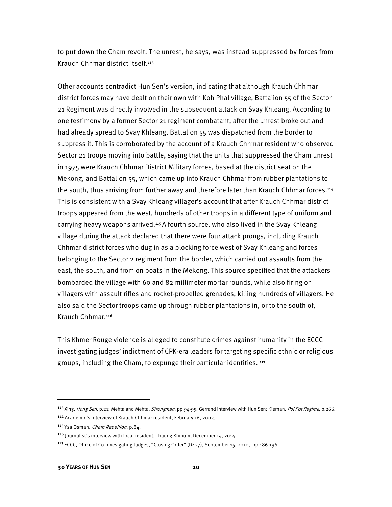to put down the Cham revolt. The unrest, he says, was instead suppressed by forces from Krauch Chhmar district itself.113

Other accounts contradict Hun Sen's version, indicating that although Krauch Chhmar district forces may have dealt on their own with Koh Phal village, Battalion 55 of the Sector 21 Regiment was directly involved in the subsequent attack on Svay Khleang. According to one testimony by a former Sector 21 regiment combatant, after the unrest broke out and had already spread to Svay Khleang, Battalion 55 was dispatched from the border to suppress it. This is corroborated by the account of a Krauch Chhmar resident who observed Sector 21 troops moving into battle, saying that the units that suppressed the Cham unrest in 1975 were Krauch Chhmar District Military forces, based at the district seat on the Mekong, and Battalion 55, which came up into Krauch Chhmar from rubber plantations to the south, thus arriving from further away and therefore later than Krauch Chhmar forces.<sup>114</sup> This is consistent with a Svay Khleang villager's account that after Krauch Chhmar district troops appeared from the west, hundreds of other troops in a different type of uniform and carrying heavy weapons arrived.<sup>115</sup> A fourth source, who also lived in the Svay Khleang village during the attack declared that there were four attack prongs, including Krauch Chhmar district forces who dug in as a blocking force west of Svay Khleang and forces belonging to the Sector 2 regiment from the border, which carried out assaults from the east, the south, and from on boats in the Mekong. This source specified that the attackers bombarded the village with 60 and 82 millimeter mortar rounds, while also firing on villagers with assault rifles and rocket-propelled grenades, killing hundreds of villagers. He also said the Sector troops came up through rubber plantations in, or to the south of, Krauch Chhmar.116

This Khmer Rouge violence is alleged to constitute crimes against humanity in the ECCC investigating judges' indictment of CPK-era leaders for targeting specific ethnic or religious groups, including the Cham, to expunge their particular identities. 117

 $\overline{\phantom{a}}$ 

<sup>113</sup> Xing, Hong Sen, p.21; Mehta and Mehta, Strongman, pp.94-95; Gerrand interview with Hun Sen; Kiernan, Pol Pot Regime, p.266. <sup>114</sup> Academic's interview of Krauch Chhmar resident, February 16, 2003.

<sup>115</sup> Ysa Osman, Cham Rebellion, p.84.

<sup>116</sup> Journalist's interview with local resident, Tbaung Khmum, December 14, 2014.

<sup>&</sup>lt;sup>117</sup> ECCC, Office of Co-Invesigating Judges, "Closing Order" (D427), September 15, 2010, pp.186-196.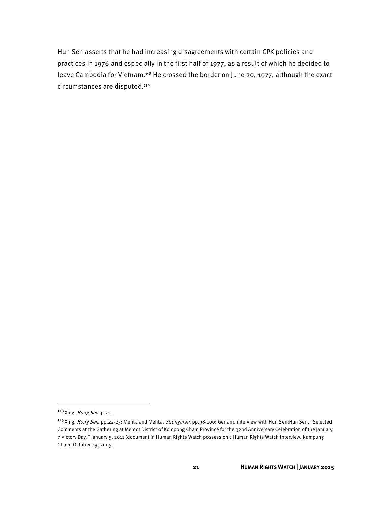Hun Sen asserts that he had increasing disagreements with certain CPK policies and practices in 1976 and especially in the first half of 1977, as a result of which he decided to leave Cambodia for Vietnam.<sup>118</sup> He crossed the border on June 20, 1977, although the exact circumstances are disputed.119

<sup>118</sup> Xing, Hong Sen, p.21.

<sup>119</sup> Xing, Hong Sen, pp.22-23; Mehta and Mehta, Strongman, pp.98-100; Gerrand interview with Hun Sen;Hun Sen, "Selected Comments at the Gathering at Memot District of Kompong Cham Province for the 32nd Anniversary Celebration of the January 7 Victory Day," January 5, 2011 (document in Human Rights Watch possession); Human Rights Watch interview, Kampung Cham, October 29, 2005.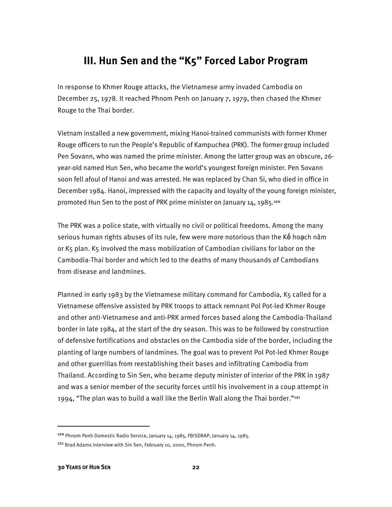## **III. Hun Sen and the "K5" Forced Labor Program**

In response to Khmer Rouge attacks, the Vietnamese army invaded Cambodia on December 25, 1978. It reached Phnom Penh on January 7, 1979, then chased the Khmer Rouge to the Thai border.

Vietnam installed a new government, mixing Hanoi-trained communists with former Khmer Rouge officers to run the People's Republic of Kampuchea (PRK). The former group included Pen Sovann, who was named the prime minister. Among the latter group was an obscure, 26 year-old named Hun Sen, who became the world's youngest foreign minister. Pen Sovann soon fell afoul of Hanoi and was arrested. He was replaced by Chan Si, who died in office in December 1984. Hanoi, impressed with the capacity and loyalty of the young foreign minister, promoted Hun Sen to the post of PRK prime minister on January 14, 1985.<sup>120</sup>

The PRK was a police state, with virtually no civil or political freedoms. Among the many serious human rights abuses of its rule, few were more notorious than the Kế hoạch năm or K5 plan. K5 involved the mass mobilization of Cambodian civilians for labor on the Cambodia-Thai border and which led to the deaths of many thousands of Cambodians from disease and landmines.

Planned in early 1983 by the Vietnamese military command for Cambodia, K5 called for a Vietnamese offensive assisted by PRK troops to attack remnant Pol Pot-led Khmer Rouge and other anti-Vietnamese and anti-PRK armed forces based along the Cambodia-Thailand border in late 1984, at the start of the dry season. This was to be followed by construction of defensive fortifications and obstacles on the Cambodia side of the border, including the planting of large numbers of landmines. The goal was to prevent Pol Pot-led Khmer Rouge and other guerrillas from reestablishing their bases and infiltrating Cambodia from Thailand. According to Sin Sen, who became deputy minister of interior of the PRK in 1987 and was a senior member of the security forces until his involvement in a coup attempt in 1994, "The plan was to build a wall like the Berlin Wall along the Thai border."121

 $\overline{\phantom{a}}$ 

<sup>120</sup> Phnom Penh Domestic Radio Service, January 14, 1985, FBISDRAP, January 14, 1985.

<sup>121</sup> Brad Adams interview with Sin Sen, February 10, 2000, Phnom Penh.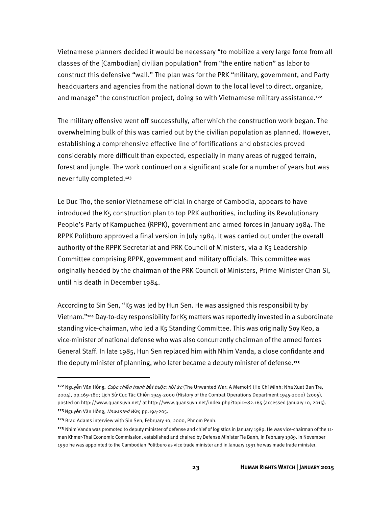Vietnamese planners decided it would be necessary "to mobilize a very large force from all classes of the [Cambodian] civilian population" from "the entire nation" as labor to construct this defensive "wall." The plan was for the PRK "military, government, and Party headquarters and agencies from the national down to the local level to direct, organize, and manage" the construction project, doing so with Vietnamese military assistance.122

The military offensive went off successfully, after which the construction work began. The overwhelming bulk of this was carried out by the civilian population as planned. However, establishing a comprehensive effective line of fortifications and obstacles proved considerably more difficult than expected, especially in many areas of rugged terrain, forest and jungle. The work continued on a significant scale for a number of years but was never fully completed.123

Le Duc Tho, the senior Vietnamese official in charge of Cambodia, appears to have introduced the K5 construction plan to top PRK authorities, including its Revolutionary People's Party of Kampuchea (RPPK), government and armed forces in January 1984. The RPPK Politburo approved a final version in July 1984. It was carried out under the overall authority of the RPPK Secretariat and PRK Council of Ministers, via a K5 Leadership Committee comprising RPPK, government and military officials. This committee was originally headed by the chairman of the PRK Council of Ministers, Prime Minister Chan Si, until his death in December 1984.

According to Sin Sen, "K5 was led by Hun Sen. He was assigned this responsibility by Vietnam."<sup>124</sup> Day-to-day responsibility for K<sub>5</sub> matters was reportedly invested in a subordinate standing vice-chairman, who led a K5 Standing Committee. This was originally Soy Keo, a vice-minister of national defense who was also concurrently chairman of the armed forces General Staff. In late 1985, Hun Sen replaced him with Nhim Vanda, a close confidante and the deputy minister of planning, who later became a deputy minister of defense.<sup>125</sup>

l

<sup>122</sup>Nguyễn Văn Hồng, Cu*ộ*c chi*ế*n tranh b*ắ*t bu*ộ*c: h*ồ*i *ứ*c (The Unwanted War: A Memoir) (Ho Chi Minh: Nha Xuat Ban Tre, 2004), pp.169-180; Lịch Sử Cục Tác Chiến 1945-2000 (History of the Combat Operations Department 1945-2000) (2005), posted on http://www.quansuvn.net/ at http://www.quansuvn.net/index.php?topic=82.165 (accessed January 10, 2015). <sup>123</sup> Nguyễn Văn Hồng, Unwanted War, pp.194-205.

<sup>124</sup> Brad Adams interview with Sin Sen, February 10, 2000, Phnom Penh.

<sup>&</sup>lt;sup>125</sup> Nhim Vanda was promoted to deputy minister of defense and chief of logistics in January 1989. He was vice-chairman of the 11man Khmer-Thai Economic Commission, established and chaired by Defense Minister Tie Banh, in February 1989. In November 1990 he was appointed to the Cambodian Politburo as vice trade minister and in January 1991 he was made trade minister.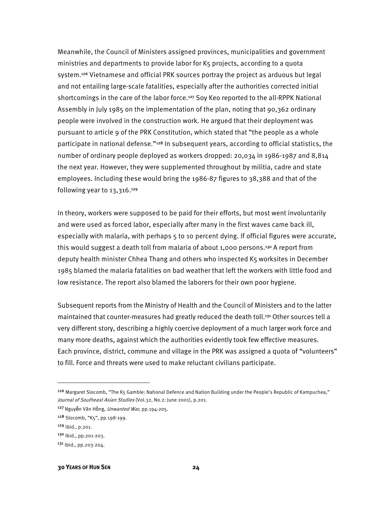Meanwhile, the Council of Ministers assigned provinces, municipalities and government ministries and departments to provide labor for K5 projects, according to a quota system.126 Vietnamese and official PRK sources portray the project as arduous but legal and not entailing large-scale fatalities, especially after the authorities corrected initial shortcomings in the care of the labor force.<sup>127</sup> Soy Keo reported to the all-RPPK National Assembly in July 1985 on the implementation of the plan, noting that 90,362 ordinary people were involved in the construction work. He argued that their deployment was pursuant to article 9 of the PRK Constitution, which stated that "the people as a whole participate in national defense."<sup>128</sup> In subsequent years, according to official statistics, the number of ordinary people deployed as workers dropped: 20,034 in 1986-1987 and 8,814 the next year. However, they were supplemented throughout by militia, cadre and state employees. Including these would bring the 1986-87 figures to 38,388 and that of the following year to 13,316.<sup>129</sup>

In theory, workers were supposed to be paid for their efforts, but most went involuntarily and were used as forced labor, especially after many in the first waves came back ill, especially with malaria, with perhaps 5 to 10 percent dying. If official figures were accurate, this would suggest a death toll from malaria of about 1,000 persons.<sup>130</sup> A report from deputy health minister Chhea Thang and others who inspected K5 worksites in December 1985 blamed the malaria fatalities on bad weather that left the workers with little food and low resistance. The report also blamed the laborers for their own poor hygiene.

Subsequent reports from the Ministry of Health and the Council of Ministers and to the latter maintained that counter-measures had greatly reduced the death toll.<sup>131</sup> Other sources tell a very different story, describing a highly coercive deployment of a much larger work force and many more deaths, against which the authorities evidently took few effective measures. Each province, district, commune and village in the PRK was assigned a quota of "volunteers" to fill. Force and threats were used to make reluctant civilians participate.

<sup>&</sup>lt;sup>126</sup> Margaret Slocomb, "The K5 Gamble: National Defence and Nation Building under the People's Republic of Kampuchea," Journal of Southeast Asian Studies (Vol.32, No.2: June 2001), p.201.

<sup>127</sup> Nguyễn Văn Hồng, Unwanted War, pp.194-205.

<sup>128</sup> Slocomb, "K5", pp.198-199.

<sup>129</sup> Ibid., p.201.

<sup>130</sup> Ibid., pp.201-203.

<sup>131</sup> Ibid., pp.203-204.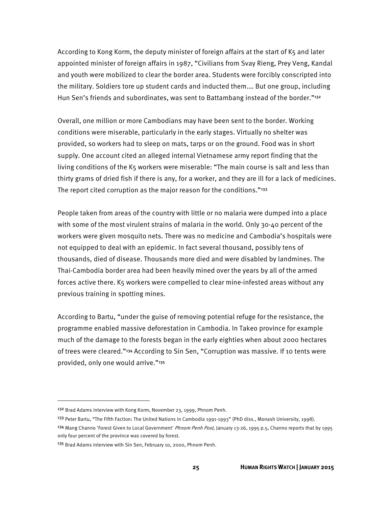According to Kong Korm, the deputy minister of foreign affairs at the start of K5 and later appointed minister of foreign affairs in 1987, "Civilians from Svay Rieng, Prey Veng, Kandal and youth were mobilized to clear the border area. Students were forcibly conscripted into the military. Soldiers tore up student cards and inducted them.… But one group, including Hun Sen's friends and subordinates, was sent to Battambang instead of the border."132

Overall, one million or more Cambodians may have been sent to the border. Working conditions were miserable, particularly in the early stages. Virtually no shelter was provided, so workers had to sleep on mats, tarps or on the ground. Food was in short supply. One account cited an alleged internal Vietnamese army report finding that the living conditions of the K5 workers were miserable: "The main course is salt and less than thirty grams of dried fish if there is any, for a worker, and they are ill for a lack of medicines. The report cited corruption as the major reason for the conditions."<sup>133</sup>

People taken from areas of the country with little or no malaria were dumped into a place with some of the most virulent strains of malaria in the world. Only 30-40 percent of the workers were given mosquito nets. There was no medicine and Cambodia's hospitals were not equipped to deal with an epidemic. In fact several thousand, possibly tens of thousands, died of disease. Thousands more died and were disabled by landmines. The Thai-Cambodia border area had been heavily mined over the years by all of the armed forces active there. K5 workers were compelled to clear mine-infested areas without any previous training in spotting mines.

According to Bartu, "under the guise of removing potential refuge for the resistance, the programme enabled massive deforestation in Cambodia. In Takeo province for example much of the damage to the forests began in the early eighties when about 2000 hectares of trees were cleared."134 According to Sin Sen, "Corruption was massive. If 10 tents were provided, only one would arrive."135

 $\overline{a}$ 

<sup>132</sup> Brad Adams interview with Kong Korm, November 23, 1999, Phnom Penh.

<sup>&</sup>lt;sup>133</sup> Peter Bartu, "The Fifth Faction: The United Nations in Cambodia 1991-1993" (PhD diss., Monash University, 1998).

<sup>&</sup>lt;sup>134</sup> Mang Channo 'Forest Given to Local Government' *Phnom Penh Post*, January 13-26, 1995 p.5, Channo reports that by 1995 only four percent of the province was covered by forest.

<sup>135</sup> Brad Adams interview with Sin Sen, February 10, 2000, Phnom Penh.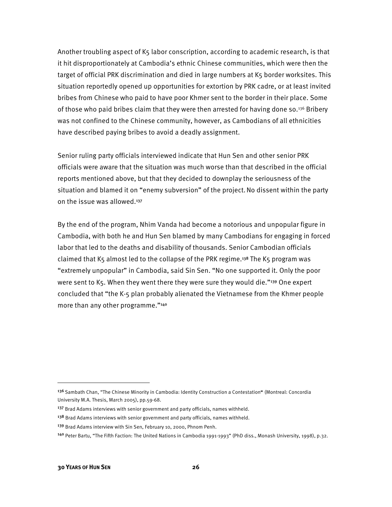Another troubling aspect of K5 labor conscription, according to academic research, is that it hit disproportionately at Cambodia's ethnic Chinese communities, which were then the target of official PRK discrimination and died in large numbers at K5 border worksites. This situation reportedly opened up opportunities for extortion by PRK cadre, or at least invited bribes from Chinese who paid to have poor Khmer sent to the border in their place. Some of those who paid bribes claim that they were then arrested for having done so.<sup>136</sup> Bribery was not confined to the Chinese community, however, as Cambodians of all ethnicities have described paying bribes to avoid a deadly assignment.

Senior ruling party officials interviewed indicate that Hun Sen and other senior PRK officials were aware that the situation was much worse than that described in the official reports mentioned above, but that they decided to downplay the seriousness of the situation and blamed it on "enemy subversion" of the project. No dissent within the party on the issue was allowed.<sup>137</sup>

By the end of the program, Nhim Vanda had become a notorious and unpopular figure in Cambodia, with both he and Hun Sen blamed by many Cambodians for engaging in forced labor that led to the deaths and disability of thousands. Senior Cambodian officials claimed that K<sub>5</sub> almost led to the collapse of the PRK regime.<sup>138</sup> The K<sub>5</sub> program was "extremely unpopular" in Cambodia, said Sin Sen. "No one supported it. Only the poor were sent to K5. When they went there they were sure they would die."<sup>139</sup> One expert concluded that "the K-5 plan probably alienated the Vietnamese from the Khmer people more than any other programme."140

 $\overline{\phantom{a}}$ 

<sup>&</sup>lt;sup>136</sup> Sambath Chan, "The Chinese Minority in Cambodia: Identity Construction a Contestation" (Montreal: Concordia University M.A. Thesis, March 2005), pp.59-68.

<sup>&</sup>lt;sup>137</sup> Brad Adams interviews with senior government and party officials, names withheld.

<sup>&</sup>lt;sup>138</sup> Brad Adams interviews with senior government and party officials, names withheld.

<sup>&</sup>lt;sup>139</sup> Brad Adams interview with Sin Sen, February 10, 2000, Phnom Penh.

<sup>140</sup> Peter Bartu, "The Fifth Faction: The United Nations in Cambodia 1991-1993" (PhD diss., Monash University, 1998), p.32.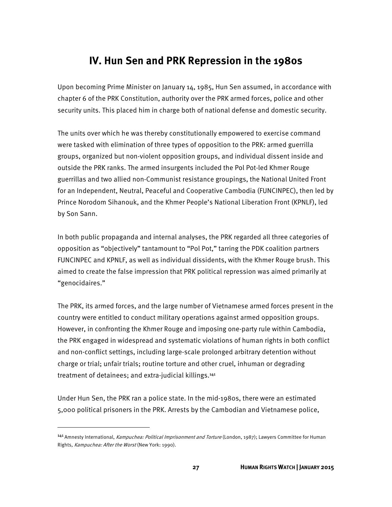## **IV. Hun Sen and PRK Repression in the 1980s**

Upon becoming Prime Minister on January 14, 1985, Hun Sen assumed, in accordance with chapter 6 of the PRK Constitution, authority over the PRK armed forces, police and other security units. This placed him in charge both of national defense and domestic security.

The units over which he was thereby constitutionally empowered to exercise command were tasked with elimination of three types of opposition to the PRK: armed guerrilla groups, organized but non-violent opposition groups, and individual dissent inside and outside the PRK ranks. The armed insurgents included the Pol Pot-led Khmer Rouge guerrillas and two allied non-Communist resistance groupings, the National United Front for an Independent, Neutral, Peaceful and Cooperative Cambodia (FUNCINPEC), then led by Prince Norodom Sihanouk, and the Khmer People's National Liberation Front (KPNLF), led by Son Sann.

In both public propaganda and internal analyses, the PRK regarded all three categories of opposition as "objectively" tantamount to "Pol Pot," tarring the PDK coalition partners FUNCINPEC and KPNLF, as well as individual dissidents, with the Khmer Rouge brush. This aimed to create the false impression that PRK political repression was aimed primarily at "genocidaires."

The PRK, its armed forces, and the large number of Vietnamese armed forces present in the country were entitled to conduct military operations against armed opposition groups. However, in confronting the Khmer Rouge and imposing one-party rule within Cambodia, the PRK engaged in widespread and systematic violations of human rights in both conflict and non-conflict settings, including large-scale prolonged arbitrary detention without charge or trial; unfair trials; routine torture and other cruel, inhuman or degrading treatment of detainees; and extra-judicial killings.141

Under Hun Sen, the PRK ran a police state. In the mid-1980s, there were an estimated 5,000 political prisoners in the PRK. Arrests by the Cambodian and Vietnamese police,

l

<sup>141</sup> Amnesty International, Kampuchea: Political Imprisonment and Torture (London, 1987); Lawyers Committee for Human Rights, Kampuchea: After the Worst (New York: 1990).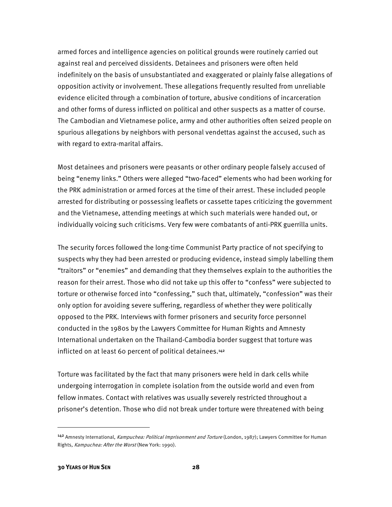armed forces and intelligence agencies on political grounds were routinely carried out against real and perceived dissidents. Detainees and prisoners were often held indefinitely on the basis of unsubstantiated and exaggerated or plainly false allegations of opposition activity or involvement. These allegations frequently resulted from unreliable evidence elicited through a combination of torture, abusive conditions of incarceration and other forms of duress inflicted on political and other suspects as a matter of course. The Cambodian and Vietnamese police, army and other authorities often seized people on spurious allegations by neighbors with personal vendettas against the accused, such as with regard to extra-marital affairs.

Most detainees and prisoners were peasants or other ordinary people falsely accused of being "enemy links." Others were alleged "two-faced" elements who had been working for the PRK administration or armed forces at the time of their arrest. These included people arrested for distributing or possessing leaflets or cassette tapes criticizing the government and the Vietnamese, attending meetings at which such materials were handed out, or individually voicing such criticisms. Very few were combatants of anti-PRK guerrilla units.

The security forces followed the long-time Communist Party practice of not specifying to suspects why they had been arrested or producing evidence, instead simply labelling them "traitors" or "enemies" and demanding that they themselves explain to the authorities the reason for their arrest. Those who did not take up this offer to "confess" were subjected to torture or otherwise forced into "confessing," such that, ultimately, "confession" was their only option for avoiding severe suffering, regardless of whether they were politically opposed to the PRK. Interviews with former prisoners and security force personnel conducted in the 1980s by the Lawyers Committee for Human Rights and Amnesty International undertaken on the Thailand-Cambodia border suggest that torture was inflicted on at least 60 percent of political detainees.<sup>142</sup>

Torture was facilitated by the fact that many prisoners were held in dark cells while undergoing interrogation in complete isolation from the outside world and even from fellow inmates. Contact with relatives was usually severely restricted throughout a prisoner's detention. Those who did not break under torture were threatened with being

l

<sup>142</sup> Amnesty International, Kampuchea: Political Imprisonment and Torture (London, 1987); Lawyers Committee for Human Rights, Kampuchea: After the Worst (New York: 1990).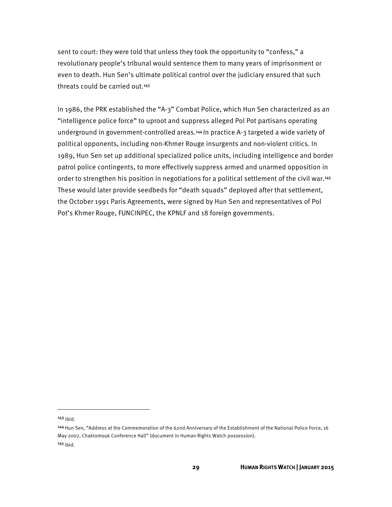sent to court: they were told that unless they took the opportunity to "confess," a revolutionary people's tribunal would sentence them to many years of imprisonment or even to death. Hun Sen's ultimate political control over the judiciary ensured that such threats could be carried out.143

In 1986, the PRK established the "A-3" Combat Police, which Hun Sen characterized as an "intelligence police force" to uproot and suppress alleged Pol Pot partisans operating underground in government-controlled areas.<sup>144</sup> In practice A-3 targeted a wide variety of political opponents, including non-Khmer Rouge insurgents and non-violent critics. In 1989, Hun Sen set up additional specialized police units, including intelligence and border patrol police contingents, to more effectively suppress armed and unarmed opposition in order to strengthen his position in negotiations for a political settlement of the civil war.145 These would later provide seedbeds for "death squads" deployed after that settlement, the October 1991 Paris Agreements, were signed by Hun Sen and representatives of Pol Pot's Khmer Rouge, FUNCINPEC, the KPNLF and 18 foreign governments.

 $143$  Ibid.

 $\overline{\phantom{a}}$ 

<sup>144</sup> Hun Sen, "Address at the Commemoration of the 62nd Anniversary of the Establishment of the National Police Force, 16 May 2007, Chaktomouk Conference Hall" (document in Human Rights Watch possession). 145 Ibid.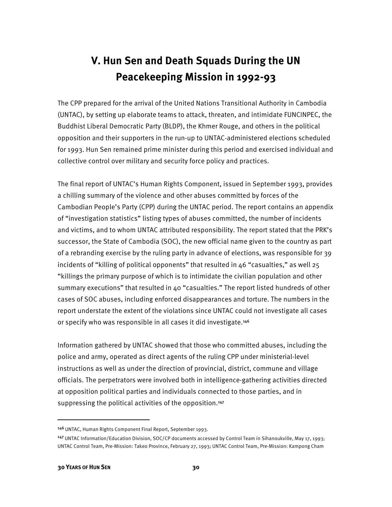# **V. Hun Sen and Death Squads During the UN Peacekeeping Mission in 1992-93**

The CPP prepared for the arrival of the United Nations Transitional Authority in Cambodia (UNTAC), by setting up elaborate teams to attack, threaten, and intimidate FUNCINPEC, the Buddhist Liberal Democratic Party (BLDP), the Khmer Rouge, and others in the political opposition and their supporters in the run-up to UNTAC-administered elections scheduled for 1993. Hun Sen remained prime minister during this period and exercised individual and collective control over military and security force policy and practices.

The final report of UNTAC's Human Rights Component, issued in September 1993, provides a chilling summary of the violence and other abuses committed by forces of the Cambodian People's Party (CPP) during the UNTAC period. The report contains an appendix of "investigation statistics" listing types of abuses committed, the number of incidents and victims, and to whom UNTAC attributed responsibility. The report stated that the PRK's successor, the State of Cambodia (SOC), the new official name given to the country as part of a rebranding exercise by the ruling party in advance of elections, was responsible for 39 incidents of "killing of political opponents" that resulted in  $46$  "casualties," as well  $25$ "killings the primary purpose of which is to intimidate the civilian population and other summary executions" that resulted in 40 "casualties." The report listed hundreds of other cases of SOC abuses, including enforced disappearances and torture. The numbers in the report understate the extent of the violations since UNTAC could not investigate all cases or specify who was responsible in all cases it did investigate.<sup>146</sup>

Information gathered by UNTAC showed that those who committed abuses, including the police and army, operated as direct agents of the ruling CPP under ministerial-level instructions as well as under the direction of provincial, district, commune and village officials. The perpetrators were involved both in intelligence-gathering activities directed at opposition political parties and individuals connected to those parties, and in suppressing the political activities of the opposition.<sup>147</sup>

 $\overline{a}$ 

<sup>146</sup> UNTAC, Human Rights Component Final Report, September 1993.

<sup>147</sup>UNTAC Information/Education Division, SOC/CP documents accessed by Control Team in Sihanoukville, May 17, 1993; UNTAC Control Team, Pre-Mission: Takeo Province, February 27, 1993; UNTAC Control Team, Pre-Mission: Kampong Cham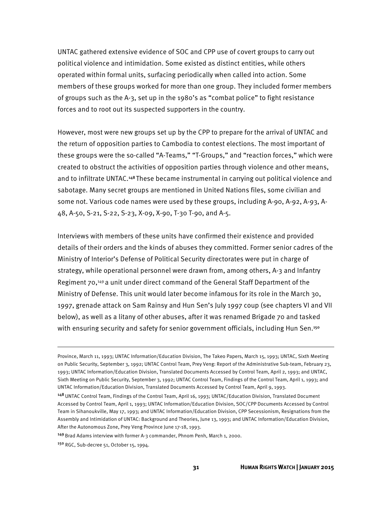UNTAC gathered extensive evidence of SOC and CPP use of covert groups to carry out political violence and intimidation. Some existed as distinct entities, while others operated within formal units, surfacing periodically when called into action. Some members of these groups worked for more than one group. They included former members of groups such as the A-3, set up in the 1980's as "combat police" to fight resistance forces and to root out its suspected supporters in the country.

However, most were new groups set up by the CPP to prepare for the arrival of UNTAC and the return of opposition parties to Cambodia to contest elections. The most important of these groups were the so-called "A-Teams," "T-Groups," and "reaction forces," which were created to obstruct the activities of opposition parties through violence and other means, and to infiltrate UNTAC.148 These became instrumental in carrying out political violence and sabotage. Many secret groups are mentioned in United Nations files, some civilian and some not. Various code names were used by these groups, including A-90, A-92, A-93, A-48, A-50, S-21, S-22, S-23, X-09, X-90, T-30 T-90, and A-5.

Interviews with members of these units have confirmed their existence and provided details of their orders and the kinds of abuses they committed. Former senior cadres of the Ministry of Interior's Defense of Political Security directorates were put in charge of strategy, while operational personnel were drawn from, among others, A-3 and Infantry Regiment 70,149 a unit under direct command of the General Staff Department of the Ministry of Defense. This unit would later become infamous for its role in the March 30, 1997, grenade attack on Sam Rainsy and Hun Sen's July 1997 coup (see chapters VI and VII below), as well as a litany of other abuses, after it was renamed Brigade 70 and tasked with ensuring security and safety for senior government officials, including Hun Sen.<sup>150</sup>

<sup>149</sup>Brad Adams interview with former A-3 commander, Phnom Penh, March 1, 2000.

 $\overline{a}$ 

Province, March 11, 1993; UNTAC Information/Education Division, The Takeo Papers, March 15, 1993; UNTAC, Sixth Meeting on Public Security, September 3, 1992; UNTAC Control Team, Prey Veng: Report of the Administrative Sub-team, February 23, 1993; UNTAC Information/Education Division, Translated Documents Accessed by Control Team, April 2, 1993; and UNTAC, Sixth Meeting on Public Security, September 3, 1992; UNTAC Control Team, Findings of the Control Team, April 1, 1993; and UNTAC Information/Education Division, Translated Documents Accessed by Control Team, April 9, 1993.

<sup>148</sup>UNTAC Control Team, Findings of the Control Team, April 16, 1993; UNTAC/Education Division, Translated Document Accessed by Control Team, April 1, 1993; UNTAC Information/Education Division, SOC/CPP Documents Accessed by Control Team in Sihanoukville, May 17, 1993; and UNTAC Information/Education Division, CPP Secessionism, Resignations from the Assembly and Intimidation of UNTAC: Background and Theories, June 13, 1993; and UNTAC Information/Education Division, After the Autonomous Zone, Prey Veng Province June 17-18, 1993.

<sup>150</sup> RGC, Sub-decree 51, October 15, 1994.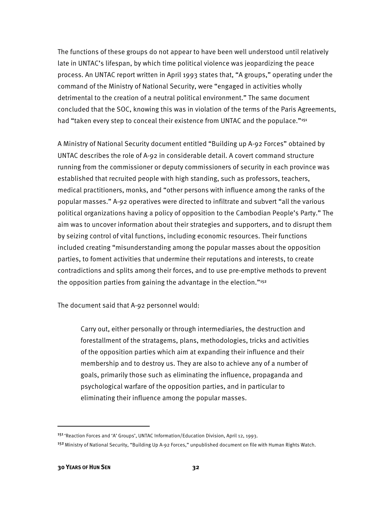The functions of these groups do not appear to have been well understood until relatively late in UNTAC's lifespan, by which time political violence was jeopardizing the peace process. An UNTAC report written in April 1993 states that, "A groups," operating under the command of the Ministry of National Security, were "engaged in activities wholly detrimental to the creation of a neutral political environment." The same document concluded that the SOC, knowing this was in violation of the terms of the Paris Agreements, had "taken every step to conceal their existence from UNTAC and the populace."<sup>151</sup>

A Ministry of National Security document entitled "Building up A-92 Forces" obtained by UNTAC describes the role of A-92 in considerable detail. A covert command structure running from the commissioner or deputy commissioners of security in each province was established that recruited people with high standing, such as professors, teachers, medical practitioners, monks, and "other persons with influence among the ranks of the popular masses." A-92 operatives were directed to infiltrate and subvert "all the various political organizations having a policy of opposition to the Cambodian People's Party." The aim was to uncover information about their strategies and supporters, and to disrupt them by seizing control of vital functions, including economic resources. Their functions included creating "misunderstanding among the popular masses about the opposition parties, to foment activities that undermine their reputations and interests, to create contradictions and splits among their forces, and to use pre-emptive methods to prevent the opposition parties from gaining the advantage in the election."152

The document said that A-92 personnel would:

Carry out, either personally or through intermediaries, the destruction and forestallment of the stratagems, plans, methodologies, tricks and activities of the opposition parties which aim at expanding their influence and their membership and to destroy us. They are also to achieve any of a number of goals, primarily those such as eliminating the influence, propaganda and psychological warfare of the opposition parties, and in particular to eliminating their influence among the popular masses.

<sup>151</sup>'Reaction Forces and 'A' Groups', UNTAC Information/Education Division, April 12, 1993.

<sup>&</sup>lt;sup>152</sup> Ministry of National Security, "Building Up A-92 Forces," unpublished document on file with Human Rights Watch.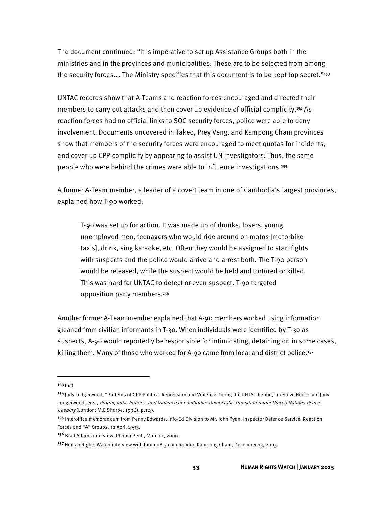The document continued: "It is imperative to set up Assistance Groups both in the ministries and in the provinces and municipalities. These are to be selected from among the security forces.... The Ministry specifies that this document is to be kept top secret."<sup>153</sup>

UNTAC records show that A-Teams and reaction forces encouraged and directed their members to carry out attacks and then cover up evidence of official complicity.154 As reaction forces had no official links to SOC security forces, police were able to deny involvement. Documents uncovered in Takeo, Prey Veng, and Kampong Cham provinces show that members of the security forces were encouraged to meet quotas for incidents, and cover up CPP complicity by appearing to assist UN investigators. Thus, the same people who were behind the crimes were able to influence investigations.155

A former A-Team member, a leader of a covert team in one of Cambodia's largest provinces, explained how T-90 worked:

T-90 was set up for action. It was made up of drunks, losers, young unemployed men, teenagers who would ride around on motos [motorbike taxis], drink, sing karaoke, etc. Often they would be assigned to start fights with suspects and the police would arrive and arrest both. The T-90 person would be released, while the suspect would be held and tortured or killed. This was hard for UNTAC to detect or even suspect. T-90 targeted opposition party members.156

Another former A-Team member explained that A-90 members worked using information gleaned from civilian informants in T-30. When individuals were identified by T-30 as suspects, A-90 would reportedly be responsible for intimidating, detaining or, in some cases, killing them. Many of those who worked for A-90 came from local and district police.157

**.** 

 $153$  Ihid.

<sup>154</sup> Judy Ledgerwood, "Patterns of CPP Political Repression and Violence During the UNTAC Period," in Steve Heder and Judy Ledgerwood, eds., Propaganda, Politics, and Violence in Cambodia: Democratic Transition under United Nations Peacekeeping (London: M.E Sharpe, 1996), p.129.

<sup>155</sup> Interoffice memorandum from Penny Edwards, Info-Ed Division to Mr. John Ryan, Inspector Defence Service, Reaction Forces and "A" Groups, 12 April 1993.

<sup>156</sup> Brad Adams interview, Phnom Penh, March 1, 2000.

<sup>157</sup> Human Rights Watch interview with former A-3 commander, Kampong Cham, December 13, 2003.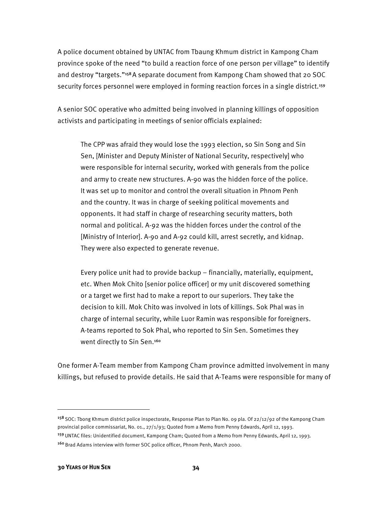A police document obtained by UNTAC from Tbaung Khmum district in Kampong Cham province spoke of the need "to build a reaction force of one person per village" to identify and destroy "targets."158 A separate document from Kampong Cham showed that 20 SOC security forces personnel were employed in forming reaction forces in a single district.<sup>159</sup>

A senior SOC operative who admitted being involved in planning killings of opposition activists and participating in meetings of senior officials explained:

The CPP was afraid they would lose the 1993 election, so Sin Song and Sin Sen, [Minister and Deputy Minister of National Security, respectively] who were responsible for internal security, worked with generals from the police and army to create new structures. A-90 was the hidden force of the police. It was set up to monitor and control the overall situation in Phnom Penh and the country. It was in charge of seeking political movements and opponents. It had staff in charge of researching security matters, both normal and political. A-92 was the hidden forces under the control of the [Ministry of Interior]. A-90 and A-92 could kill, arrest secretly, and kidnap. They were also expected to generate revenue.

Every police unit had to provide backup – financially, materially, equipment, etc. When Mok Chito [senior police officer] or my unit discovered something or a target we first had to make a report to our superiors. They take the decision to kill. Mok Chito was involved in lots of killings. Sok Phal was in charge of internal security, while Luor Ramin was responsible for foreigners. A-teams reported to Sok Phal, who reported to Sin Sen. Sometimes they went directly to Sin Sen.<sup>160</sup>

One former A-Team member from Kampong Cham province admitted involvement in many killings, but refused to provide details. He said that A-Teams were responsible for many of

<sup>&</sup>lt;sup>158</sup> SOC: Tbong Khmum district police inspectorate, Response Plan to Plan No. 09 pla. Of 22/12/92 of the Kampong Cham provincial police commissariat, No. 01., 27/1/93; Quoted from a Memo from Penny Edwards, April 12, 1993. 159 UNTAC files: Unidentified document, Kampong Cham; Quoted from a Memo from Penny Edwards, April 12, 1993. 160 Brad Adams interview with former SOC police officer, Phnom Penh, March 2000.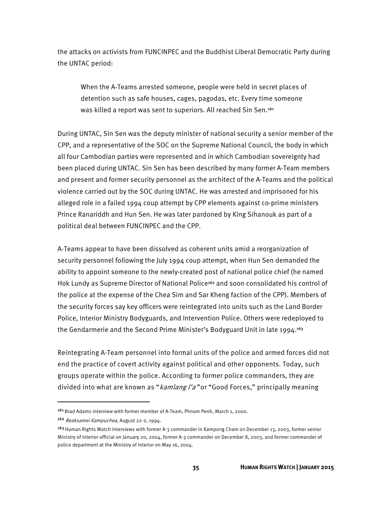the attacks on activists from FUNCINPEC and the Buddhist Liberal Democratic Party during the UNTAC period:

When the A-Teams arrested someone, people were held in secret places of detention such as safe houses, cages, pagodas, etc. Every time someone was killed a report was sent to superiors. All reached Sin Sen.<sup>161</sup>

During UNTAC, Sin Sen was the deputy minister of national security a senior member of the CPP, and a representative of the SOC on the Supreme National Council, the body in which all four Cambodian parties were represented and in which Cambodian sovereignty had been placed during UNTAC. Sin Sen has been described by many former A-Team members and present and former security personnel as the architect of the A-Teams and the political violence carried out by the SOC during UNTAC. He was arrested and imprisoned for his alleged role in a failed 1994 coup attempt by CPP elements against co-prime ministers Prince Ranariddh and Hun Sen. He was later pardoned by King Sihanouk as part of a political deal between FUNCINPEC and the CPP.

A-Teams appear to have been dissolved as coherent units amid a reorganization of security personnel following the July 1994 coup attempt, when Hun Sen demanded the ability to appoint someone to the newly-created post of national police chief (he named Hok Lundy as Supreme Director of National Police<sup>162</sup> and soon consolidated his control of the police at the expense of the Chea Sim and Sar Kheng faction of the CPP). Members of the security forces say key officers were reintegrated into units such as the Land Border Police, Interior Ministry Bodyguards, and Intervention Police. Others were redeployed to the Gendarmerie and the Second Prime Minister's Bodyguard Unit in late 1994.<sup>163</sup>

Reintegrating A-Team personnel into formal units of the police and armed forces did not end the practice of covert activity against political and other opponents. Today, such groups operate within the police. According to former police commanders, they are divided into what are known as "kamlang l'a" or "Good Forces," principally meaning

<sup>161</sup> Brad Adams interview with former member of A-Team, Phnom Penh, March 1, 2000.

<sup>162</sup> Reaksamei Kampuchea, August 22-2, 1994.

<sup>&</sup>lt;sup>163</sup> Human Rights Watch interviews with former A-3 commander in Kampong Cham on December 13, 2003, former senior Ministry of Interior official on January 20, 2004, former A-3 commander on December 8, 2003, and former commander of police department at the Ministry of Interior on May 16, 2004.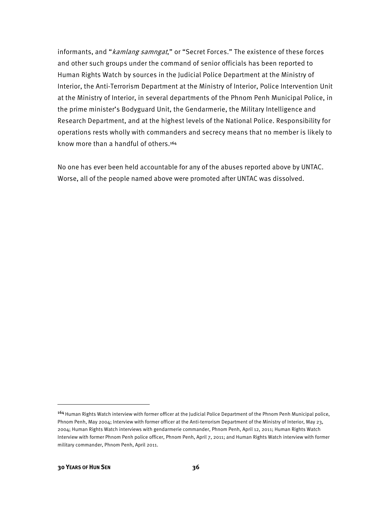informants, and "*kamlang samngat*," or "Secret Forces." The existence of these forces and other such groups under the command of senior officials has been reported to Human Rights Watch by sources in the Judicial Police Department at the Ministry of Interior, the Anti-Terrorism Department at the Ministry of Interior, Police Intervention Unit at the Ministry of Interior, in several departments of the Phnom Penh Municipal Police, in the prime minister's Bodyguard Unit, the Gendarmerie, the Military Intelligence and Research Department, and at the highest levels of the National Police. Responsibility for operations rests wholly with commanders and secrecy means that no member is likely to know more than a handful of others.164

No one has ever been held accountable for any of the abuses reported above by UNTAC. Worse, all of the people named above were promoted after UNTAC was dissolved.

 $\overline{a}$ 

<sup>164</sup>Human Rights Watch interview with former officer at the Judicial Police Department of the Phnom Penh Municipal police, Phnom Penh, May 2004; Interview with former officer at the Anti-terrorism Department of the Ministry of Interior, May 23, 2004; Human Rights Watch interviews with gendarmerie commander, Phnom Penh, April 12, 2011; Human Rights Watch Interview with former Phnom Penh police officer, Phnom Penh, April 7, 2011; and Human Rights Watch interview with former military commander, Phnom Penh, April 2011.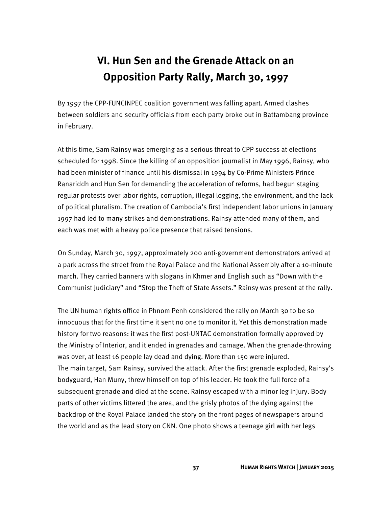## **VI. Hun Sen and the Grenade Attack on an Opposition Party Rally, March 30, 1997**

By 1997 the CPP-FUNCINPEC coalition government was falling apart. Armed clashes between soldiers and security officials from each party broke out in Battambang province in February.

At this time, Sam Rainsy was emerging as a serious threat to CPP success at elections scheduled for 1998. Since the killing of an opposition journalist in May 1996, Rainsy, who had been minister of finance until his dismissal in 1994 by Co-Prime Ministers Prince Ranariddh and Hun Sen for demanding the acceleration of reforms, had begun staging regular protests over labor rights, corruption, illegal logging, the environment, and the lack of political pluralism. The creation of Cambodia's first independent labor unions in January 1997 had led to many strikes and demonstrations. Rainsy attended many of them, and each was met with a heavy police presence that raised tensions.

On Sunday, March 30, 1997, approximately 200 anti-government demonstrators arrived at a park across the street from the Royal Palace and the National Assembly after a 10-minute march. They carried banners with slogans in Khmer and English such as "Down with the Communist Judiciary" and "Stop the Theft of State Assets." Rainsy was present at the rally.

The UN human rights office in Phnom Penh considered the rally on March 30 to be so innocuous that for the first time it sent no one to monitor it. Yet this demonstration made history for two reasons: it was the first post-UNTAC demonstration formally approved by the Ministry of Interior, and it ended in grenades and carnage. When the grenade-throwing was over, at least 16 people lay dead and dying. More than 150 were injured. The main target, Sam Rainsy, survived the attack. After the first grenade exploded, Rainsy's bodyguard, Han Muny, threw himself on top of his leader. He took the full force of a subsequent grenade and died at the scene. Rainsy escaped with a minor leg injury. Body parts of other victims littered the area, and the grisly photos of the dying against the backdrop of the Royal Palace landed the story on the front pages of newspapers around the world and as the lead story on CNN. One photo shows a teenage girl with her legs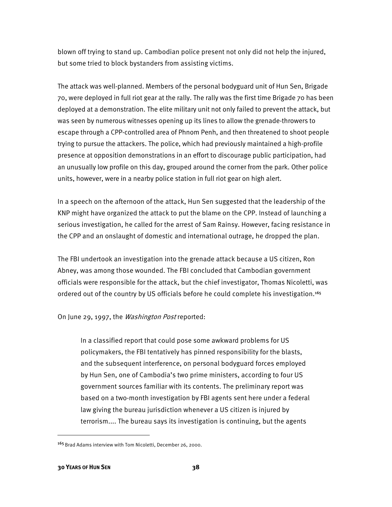blown off trying to stand up. Cambodian police present not only did not help the injured, but some tried to block bystanders from assisting victims.

The attack was well-planned. Members of the personal bodyguard unit of Hun Sen, Brigade 70, were deployed in full riot gear at the rally. The rally was the first time Brigade 70 has been deployed at a demonstration. The elite military unit not only failed to prevent the attack, but was seen by numerous witnesses opening up its lines to allow the grenade-throwers to escape through a CPP-controlled area of Phnom Penh, and then threatened to shoot people trying to pursue the attackers. The police, which had previously maintained a high-profile presence at opposition demonstrations in an effort to discourage public participation, had an unusually low profile on this day, grouped around the corner from the park. Other police units, however, were in a nearby police station in full riot gear on high alert.

In a speech on the afternoon of the attack, Hun Sen suggested that the leadership of the KNP might have organized the attack to put the blame on the CPP. Instead of launching a serious investigation, he called for the arrest of Sam Rainsy. However, facing resistance in the CPP and an onslaught of domestic and international outrage, he dropped the plan.

The FBI undertook an investigation into the grenade attack because a US citizen, Ron Abney, was among those wounded. The FBI concluded that Cambodian government officials were responsible for the attack, but the chief investigator, Thomas Nicoletti, was ordered out of the country by US officials before he could complete his investigation.165

#### On June 29, 1997, the Washington Post reported:

In a classified report that could pose some awkward problems for US policymakers, the FBI tentatively has pinned responsibility for the blasts, and the subsequent interference, on personal bodyguard forces employed by Hun Sen, one of Cambodia's two prime ministers, according to four US government sources familiar with its contents. The preliminary report was based on a two-month investigation by FBI agents sent here under a federal law giving the bureau jurisdiction whenever a US citizen is injured by terrorism.... The bureau says its investigation is continuing, but the agents

 $\overline{a}$ 

<sup>165</sup> Brad Adams interview with Tom Nicoletti, December 26, 2000.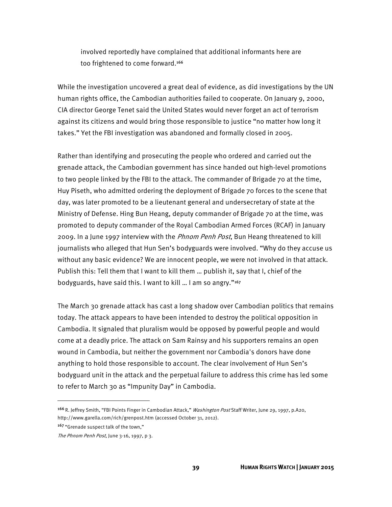involved reportedly have complained that additional informants here are too frightened to come forward.<sup>166</sup>

While the investigation uncovered a great deal of evidence, as did investigations by the UN human rights office, the Cambodian authorities failed to cooperate. On January 9, 2000, CIA director George Tenet said the United States would never forget an act of terrorism against its citizens and would bring those responsible to justice "no matter how long it takes." Yet the FBI investigation was abandoned and formally closed in 2005.

Rather than identifying and prosecuting the people who ordered and carried out the grenade attack, the Cambodian government has since handed out high-level promotions to two people linked by the FBI to the attack. The commander of Brigade 70 at the time, Huy Piseth, who admitted ordering the deployment of Brigade 70 forces to the scene that day, was later promoted to be a lieutenant general and undersecretary of state at the Ministry of Defense. Hing Bun Heang, deputy commander of Brigade 70 at the time, was promoted to deputy commander of the Royal Cambodian Armed Forces (RCAF) in January 2009. In a June 1997 interview with the *Phnom Penh Post*, Bun Heang threatened to kill journalists who alleged that Hun Sen's bodyguards were involved. "Why do they accuse us without any basic evidence? We are innocent people, we were not involved in that attack. Publish this: Tell them that I want to kill them … publish it, say that I, chief of the bodyguards, have said this. I want to kill … I am so angry."167

The March 30 grenade attack has cast a long shadow over Cambodian politics that remains today. The attack appears to have been intended to destroy the political opposition in Cambodia. It signaled that pluralism would be opposed by powerful people and would come at a deadly price. The attack on Sam Rainsy and his supporters remains an open wound in Cambodia, but neither the government nor Cambodia's donors have done anything to hold those responsible to account. The clear involvement of Hun Sen's bodyguard unit in the attack and the perpetual failure to address this crime has led some to refer to March 30 as "Impunity Day" in Cambodia.

l

<sup>166</sup> R. Jeffrey Smith, "FBI Points Finger in Cambodian Attack," Washington Post Staff Writer, June 29, 1997, p.A20, http://www.garella.com/rich/grenpost.htm (accessed October 31, 2012).

<sup>&</sup>lt;sup>167</sup> "Grenade suspect talk of the town,"

The Phnom Penh Post, June 3-16, 1997, p 3.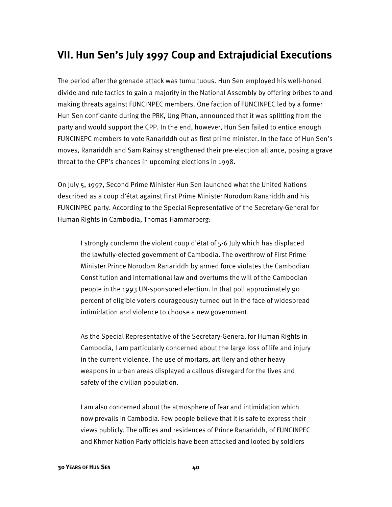### **VII. Hun Sen's July 1997 Coup and Extrajudicial Executions**

The period after the grenade attack was tumultuous. Hun Sen employed his well-honed divide and rule tactics to gain a majority in the National Assembly by offering bribes to and making threats against FUNCINPEC members. One faction of FUNCINPEC led by a former Hun Sen confidante during the PRK, Ung Phan, announced that it was splitting from the party and would support the CPP. In the end, however, Hun Sen failed to entice enough FUNCINEPC members to vote Ranariddh out as first prime minister. In the face of Hun Sen's moves, Ranariddh and Sam Rainsy strengthened their pre-election alliance, posing a grave threat to the CPP's chances in upcoming elections in 1998.

On July 5, 1997, Second Prime Minister Hun Sen launched what the United Nations described as a coup d'état against First Prime Minister Norodom Ranariddh and his FUNCINPEC party. According to the Special Representative of the Secretary-General for Human Rights in Cambodia, Thomas Hammarberg:

I strongly condemn the violent coup d'état of 5-6 July which has displaced the lawfully-elected government of Cambodia. The overthrow of First Prime Minister Prince Norodom Ranariddh by armed force violates the Cambodian Constitution and international law and overturns the will of the Cambodian people in the 1993 UN-sponsored election. In that poll approximately 90 percent of eligible voters courageously turned out in the face of widespread intimidation and violence to choose a new government.

As the Special Representative of the Secretary-General for Human Rights in Cambodia, I am particularly concerned about the large loss of life and injury in the current violence. The use of mortars, artillery and other heavy weapons in urban areas displayed a callous disregard for the lives and safety of the civilian population.

I am also concerned about the atmosphere of fear and intimidation which now prevails in Cambodia. Few people believe that it is safe to express their views publicly. The offices and residences of Prince Ranariddh, of FUNCINPEC and Khmer Nation Party officials have been attacked and looted by soldiers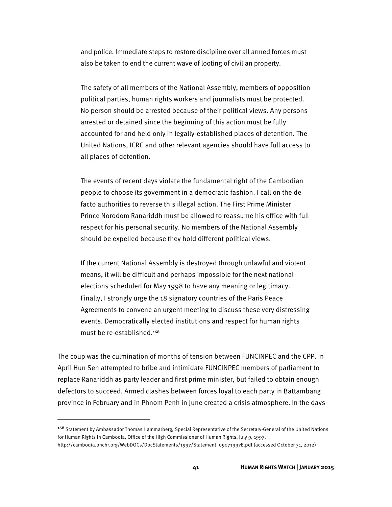and police. Immediate steps to restore discipline over all armed forces must also be taken to end the current wave of looting of civilian property.

The safety of all members of the National Assembly, members of opposition political parties, human rights workers and journalists must be protected. No person should be arrested because of their political views. Any persons arrested or detained since the beginning of this action must be fully accounted for and held only in legally-established places of detention. The United Nations, ICRC and other relevant agencies should have full access to all places of detention.

The events of recent days violate the fundamental right of the Cambodian people to choose its government in a democratic fashion. I call on the de facto authorities to reverse this illegal action. The First Prime Minister Prince Norodom Ranariddh must be allowed to reassume his office with full respect for his personal security. No members of the National Assembly should be expelled because they hold different political views.

If the current National Assembly is destroyed through unlawful and violent means, it will be difficult and perhaps impossible for the next national elections scheduled for May 1998 to have any meaning or legitimacy. Finally, I strongly urge the 18 signatory countries of the Paris Peace Agreements to convene an urgent meeting to discuss these very distressing events. Democratically elected institutions and respect for human rights must be re-established.168

The coup was the culmination of months of tension between FUNCINPEC and the CPP. In April Hun Sen attempted to bribe and intimidate FUNCINPEC members of parliament to replace Ranariddh as party leader and first prime minister, but failed to obtain enough defectors to succeed. Armed clashes between forces loyal to each party in Battambang province in February and in Phnom Penh in June created a crisis atmosphere. In the days

l

<sup>168</sup> Statement by Ambassador Thomas Hammarberg, Special Representative of the Secretary-General of the United Nations for Human Rights in Cambodia, Office of the High Commissioner of Human Rights, July 9, 1997,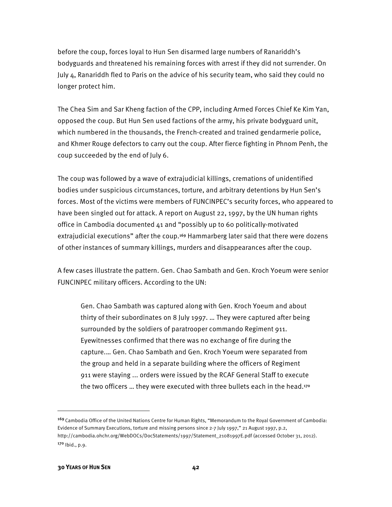before the coup, forces loyal to Hun Sen disarmed large numbers of Ranariddh's bodyguards and threatened his remaining forces with arrest if they did not surrender. On July 4, Ranariddh fled to Paris on the advice of his security team, who said they could no longer protect him.

The Chea Sim and Sar Kheng faction of the CPP, including Armed Forces Chief Ke Kim Yan, opposed the coup. But Hun Sen used factions of the army, his private bodyguard unit, which numbered in the thousands, the French-created and trained gendarmerie police, and Khmer Rouge defectors to carry out the coup. After fierce fighting in Phnom Penh, the coup succeeded by the end of July 6.

The coup was followed by a wave of extrajudicial killings, cremations of unidentified bodies under suspicious circumstances, torture, and arbitrary detentions by Hun Sen's forces. Most of the victims were members of FUNCINPEC's security forces, who appeared to have been singled out for attack. A report on August 22, 1997, by the UN human rights office in Cambodia documented 41 and "possibly up to 60 politically-motivated extrajudicial executions" after the coup.<sup>169</sup> Hammarberg later said that there were dozens of other instances of summary killings, murders and disappearances after the coup.

A few cases illustrate the pattern. Gen. Chao Sambath and Gen. Kroch Yoeum were senior FUNCINPEC military officers. According to the UN:

Gen. Chao Sambath was captured along with Gen. Kroch Yoeum and about thirty of their subordinates on 8 July 1997. … They were captured after being surrounded by the soldiers of paratrooper commando Regiment 911. Eyewitnesses confirmed that there was no exchange of fire during the capture.… Gen. Chao Sambath and Gen. Kroch Yoeum were separated from the group and held in a separate building where the officers of Regiment 911 were staying ... orders were issued by the RCAF General Staff to execute the two officers … they were executed with three bullets each in the head.170

<sup>169</sup>Cambodia Office of the United Nations Centre for Human Rights, "Memorandum to the Royal Government of Cambodia: Evidence of Summary Executions, torture and missing persons since 2-7 July 1997," 21 August 1997, p.2, http://cambodia.ohchr.org/WebDOCs/DocStatements/1997/Statement\_21081997E.pdf (accessed October 31, 2012). 170 Ibid., p.9.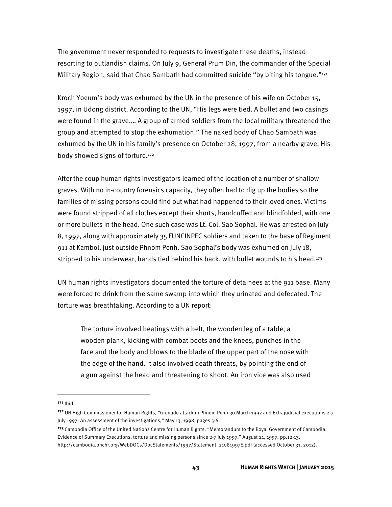The government never responded to requests to investigate these deaths, instead resorting to outlandish claims. On July 9, General Prum Din, the commander of the Special Military Region, said that Chao Sambath had committed suicide "by biting his tongue."171

Kroch Yoeum's body was exhumed by the UN in the presence of his wife on October 15, 1997, in Udong district. According to the UN, "His legs were tied. A bullet and two casings were found in the grave.… A group of armed soldiers from the local military threatened the group and attempted to stop the exhumation." The naked body of Chao Sambath was exhumed by the UN in his family's presence on October 28, 1997, from a nearby grave. His body showed signs of torture.172

After the coup human rights investigators learned of the location of a number of shallow graves. With no in-country forensics capacity, they often had to dig up the bodies so the families of missing persons could find out what had happened to their loved ones. Victims were found stripped of all clothes except their shorts, handcuffed and blindfolded, with one or more bullets in the head. One such case was Lt. Col. Sao Sophal. He was arrested on July 8, 1997, along with approximately 35 FUNCINPEC soldiers and taken to the base of Regiment 911 at Kambol, just outside Phnom Penh. Sao Sophal's body was exhumed on July 18, stripped to his underwear, hands tied behind his back, with bullet wounds to his head.<sup>173</sup>

UN human rights investigators documented the torture of detainees at the 911 base. Many were forced to drink from the same swamp into which they urinated and defecated. The torture was breathtaking. According to a UN report:

The torture involved beatings with a belt, the wooden leg of a table, a wooden plank, kicking with combat boots and the knees, punches in the face and the body and blows to the blade of the upper part of the nose with the edge of the hand. It also involved death threats, by pointing the end of a gun against the head and threatening to shoot. An iron vice was also used

 $171$  lbid.

<sup>172</sup> UN High Commissioner for Human Rights, "Grenade attack in Phnom Penh 30 March 1997 and Extrajudicial executions 2-7 July 1997: An assessment of the investigations," May 13, 1998, pages 5-6.

<sup>&</sup>lt;sup>173</sup> Cambodia Office of the United Nations Centre for Human Rights, "Memorandum to the Royal Government of Cambodia: Evidence of Summary Executions, torture and missing persons since 2-7 July 1997," August 21, 1997, pp.12-13, http://cambodia.ohchr.org/WebDOCs/DocStatements/1997/Statement\_21081997E.pdf (accessed October 31, 2012).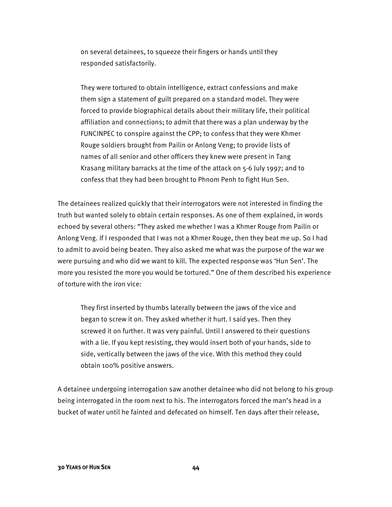on several detainees, to squeeze their fingers or hands until they responded satisfactorily.

They were tortured to obtain intelligence, extract confessions and make them sign a statement of guilt prepared on a standard model. They were forced to provide biographical details about their military life, their political affiliation and connections; to admit that there was a plan underway by the FUNCINPEC to conspire against the CPP; to confess that they were Khmer Rouge soldiers brought from Pailin or Anlong Veng; to provide lists of names of all senior and other officers they knew were present in Tang Krasang military barracks at the time of the attack on 5-6 July 1997; and to confess that they had been brought to Phnom Penh to fight Hun Sen.

The detainees realized quickly that their interrogators were not interested in finding the truth but wanted solely to obtain certain responses. As one of them explained, in words echoed by several others: "They asked me whether I was a Khmer Rouge from Pailin or Anlong Veng. If I responded that I was not a Khmer Rouge, then they beat me up. So I had to admit to avoid being beaten. They also asked me what was the purpose of the war we were pursuing and who did we want to kill. The expected response was 'Hun Sen'. The more you resisted the more you would be tortured." One of them described his experience of torture with the iron vice:

They first inserted by thumbs laterally between the jaws of the vice and began to screw it on. They asked whether it hurt. I said yes. Then they screwed it on further. It was very painful. Until I answered to their questions with a lie. If you kept resisting, they would insert both of your hands, side to side, vertically between the jaws of the vice. With this method they could obtain 100% positive answers.

A detainee undergoing interrogation saw another detainee who did not belong to his group being interrogated in the room next to his. The interrogators forced the man's head in a bucket of water until he fainted and defecated on himself. Ten days after their release,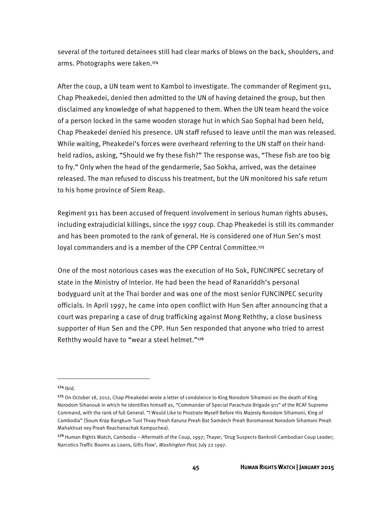several of the tortured detainees still had clear marks of blows on the back, shoulders, and arms. Photographs were taken.174

After the coup, a UN team went to Kambol to investigate. The commander of Regiment 911, Chap Pheakedei, denied then admitted to the UN of having detained the group, but then disclaimed any knowledge of what happened to them. When the UN team heard the voice of a person locked in the same wooden storage hut in which Sao Sophal had been held, Chap Pheakedei denied his presence. UN staff refused to leave until the man was released. While waiting, Pheakedei's forces were overheard referring to the UN staff on their handheld radios, asking, "Should we fry these fish?" The response was, "These fish are too big to fry." Only when the head of the gendarmerie, Sao Sokha, arrived, was the detainee released. The man refused to discuss his treatment, but the UN monitored his safe return to his home province of Siem Reap.

Regiment 911 has been accused of frequent involvement in serious human rights abuses, including extrajudicial killings, since the 1997 coup. Chap Pheakedei is still its commander and has been promoted to the rank of general. He is considered one of Hun Sen's most loyal commanders and is a member of the CPP Central Committee.175

One of the most notorious cases was the execution of Ho Sok, FUNCINPEC secretary of state in the Ministry of Interior. He had been the head of Ranariddh's personal bodyguard unit at the Thai border and was one of the most senior FUNCINPEC security officials. In April 1997, he came into open conflict with Hun Sen after announcing that a court was preparing a case of drug trafficking against Mong Reththy, a close business supporter of Hun Sen and the CPP. Hun Sen responded that anyone who tried to arrest Reththy would have to "wear a steel helmet."176

 $174$  Ibid.

<sup>175</sup> On October 18, 2012, Chap Pheakedei wrote a letter of condolence to King Norodom Sihamoni on the death of King Norodom Sihanouk in which he identifies himself as, "Commander of Special Parachute Brigade 911" of the RCAF Supreme Command, with the rank of full General. "I Would Like to Prostrate Myself Before His Majesty Norodom Sihamoni, King of Cambodia" (Soum Krap Bangkum Tuol Thvay Preah Karuna Preah Bat Samdech Preah Boromaneat Norodom Sihamoni Preah Mahakhsat ney Preah Reachanachak Kampuchea).

<sup>176</sup> Human Rights Watch, Cambodia – Aftermath of the Coup, 1997; Thayer, 'Drug Suspects Bankroll Cambodian Coup Leader; Narcotics Traffic Booms as Loans, Gifts Flow', Washington Post, July 22 1997.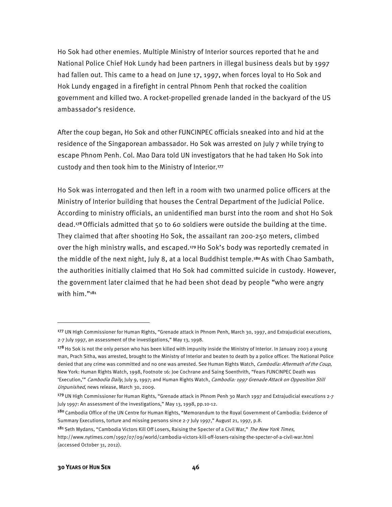Ho Sok had other enemies. Multiple Ministry of Interior sources reported that he and National Police Chief Hok Lundy had been partners in illegal business deals but by 1997 had fallen out. This came to a head on June 17, 1997, when forces loyal to Ho Sok and Hok Lundy engaged in a firefight in central Phnom Penh that rocked the coalition government and killed two. A rocket-propelled grenade landed in the backyard of the US ambassador's residence.

After the coup began, Ho Sok and other FUNCINPEC officials sneaked into and hid at the residence of the Singaporean ambassador. Ho Sok was arrested on July 7 while trying to escape Phnom Penh. Col. Mao Dara told UN investigators that he had taken Ho Sok into custody and then took him to the Ministry of Interior.177

Ho Sok was interrogated and then left in a room with two unarmed police officers at the Ministry of Interior building that houses the Central Department of the Judicial Police. According to ministry officials, an unidentified man burst into the room and shot Ho Sok dead.178 Officials admitted that 50 to 60 soldiers were outside the building at the time. They claimed that after shooting Ho Sok, the assailant ran 200-250 meters, climbed over the high ministry walls, and escaped.179 Ho Sok's body was reportedly cremated in the middle of the next night, July 8, at a local Buddhist temple.180 As with Chao Sambath, the authorities initially claimed that Ho Sok had committed suicide in custody. However, the government later claimed that he had been shot dead by people "who were angry with him."<sup>181</sup>

**.** 

<sup>177</sup> UN High Commissioner for Human Rights, "Grenade attack in Phnom Penh, March 30, 1997, and Extrajudicial executions, 2-7 July 1997, an assessment of the investigations," May 13, 1998.

<sup>&</sup>lt;sup>178</sup> Ho Sok is not the only person who has been killed with impunity inside the Ministry of Interior. In January 2003 a young man, Prach Sitha, was arrested, brought to the Ministry of Interior and beaten to death by a police officer. The National Police denied that any crime was committed and no one was arrested. See Human Rights Watch, Cambodia: Aftermath of the Coup, New York: Human Rights Watch, 1998, Footnote 16: Joe Cochrane and Saing Soenthrith, "Fears FUNCINPEC Death was 'Execution," Cambodia Daily, July 9, 1997; and Human Rights Watch, Cambodia: 1997 Grenade Attack on Opposition Still Unpunished, news release, March 30, 2009.

<sup>179</sup>UN High Commissioner for Human Rights, "Grenade attack in Phnom Penh 30 March 1997 and Extrajudicial executions 2-7 July 1997: An assessment of the investigations," May 13, 1998, pp.10-12.

<sup>&</sup>lt;sup>180</sup> Cambodia Office of the UN Centre for Human Rights, "Memorandum to the Royal Government of Cambodia: Evidence of Summary Executions, torture and missing persons since 2-7 July 1997," August 21, 1997, p.8.

<sup>181</sup> Seth Mydans, "Cambodia Victors Kill Off Losers, Raising the Specter of a Civil War," The New York Times, http://www.nytimes.com/1997/07/09/world/cambodia-victors-kill-off-losers-raising-the-specter-of-a-civil-war.html (accessed October 31, 2012).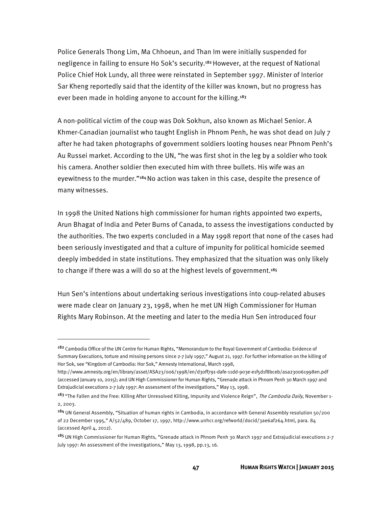Police Generals Thong Lim, Ma Chhoeun, and Than Im were initially suspended for negligence in failing to ensure Ho Sok's security.182 However, at the request of National Police Chief Hok Lundy, all three were reinstated in September 1997. Minister of Interior Sar Kheng reportedly said that the identity of the killer was known, but no progress has ever been made in holding anyone to account for the killing.<sup>183</sup>

A non-political victim of the coup was Dok Sokhun, also known as Michael Senior. A Khmer-Canadian journalist who taught English in Phnom Penh, he was shot dead on July 7 after he had taken photographs of government soldiers looting houses near Phnom Penh's Au Russei market. According to the UN, "he was first shot in the leg by a soldier who took his camera. Another soldier then executed him with three bullets. His wife was an eyewitness to the murder."184 No action was taken in this case, despite the presence of many witnesses.

In 1998 the United Nations high commissioner for human rights appointed two experts, Arun Bhagat of India and Peter Burns of Canada, to assess the investigations conducted by the authorities. The two experts concluded in a May 1998 report that none of the cases had been seriously investigated and that a culture of impunity for political homicide seemed deeply imbedded in state institutions. They emphasized that the situation was only likely to change if there was a will do so at the highest levels of government.<sup>185</sup>

Hun Sen's intentions about undertaking serious investigations into coup-related abuses were made clear on January 23, 1998, when he met UN High Commissioner for Human Rights Mary Robinson. At the meeting and later to the media Hun Sen introduced four

 $\overline{a}$ 

<sup>182</sup> Cambodia Office of the UN Centre for Human Rights, "Memorandum to the Royal Government of Cambodia: Evidence of Summary Executions, torture and missing persons since 2-7 July 1997," August 21, 1997. For further information on the killing of Hor Sok, see "Kingdom of Cambodia: Hor Sok," Amnesty International, March 1998,

http://www.amnesty.org/en/library/asset/ASA23/006/1998/en/d30ff791-dafe-11dd-903e-e1f5d1f8bceb/asa230061998en.pdf (accessed January 10, 2015); and UN High Commissioner for Human Rights, "Grenade attack in Phnom Penh 30 March 1997 and Extrajudicial executions 2-7 July 1997: An assessment of the investigations," May 13, 1998.

<sup>&</sup>lt;sup>183</sup> "The Fallen and the Free: Killing After Unresolved Killing, Impunity and Violence Reign", *The Cambodia Daily*, November 1-2, 2003.

<sup>184</sup> UN General Assembly, "Situation of human rights in Cambodia, in accordance with General Assembly resolution 50/200 of 22 December 1995," A/52/489, October 17, 1997, http://www.unhcr.org/refworld/docid/3ae6af264.html, para. 84 (accessed April 4, 2012).

<sup>185</sup> UN High Commissioner for Human Rights, "Grenade attack in Phnom Penh 30 March 1997 and Extrajudicial executions 2-7 July 1997: An assessment of the investigations," May 13, 1998, pp.13, 16.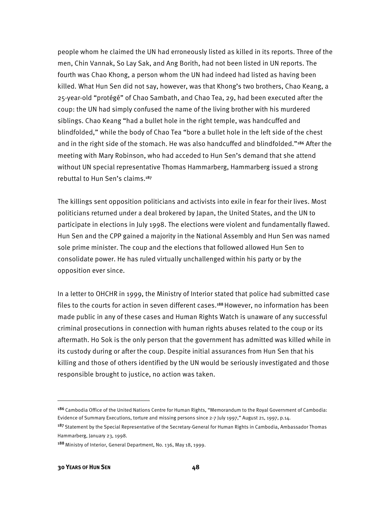people whom he claimed the UN had erroneously listed as killed in its reports. Three of the men, Chin Vannak, So Lay Sak, and Ang Borith, had not been listed in UN reports. The fourth was Chao Khong, a person whom the UN had indeed had listed as having been killed. What Hun Sen did not say, however, was that Khong's two brothers, Chao Keang, a 25-year-old "protégé" of Chao Sambath, and Chao Tea, 29, had been executed after the coup: the UN had simply confused the name of the living brother with his murdered siblings. Chao Keang "had a bullet hole in the right temple, was handcuffed and blindfolded," while the body of Chao Tea "bore a bullet hole in the left side of the chest and in the right side of the stomach. He was also handcuffed and blindfolded."<sup>186</sup> After the meeting with Mary Robinson, who had acceded to Hun Sen's demand that she attend without UN special representative Thomas Hammarberg, Hammarberg issued a strong rebuttal to Hun Sen's claims.187

The killings sent opposition politicians and activists into exile in fear for their lives. Most politicians returned under a deal brokered by Japan, the United States, and the UN to participate in elections in July 1998. The elections were violent and fundamentally flawed. Hun Sen and the CPP gained a majority in the National Assembly and Hun Sen was named sole prime minister. The coup and the elections that followed allowed Hun Sen to consolidate power. He has ruled virtually unchallenged within his party or by the opposition ever since.

In a letter to OHCHR in 1999, the Ministry of Interior stated that police had submitted case files to the courts for action in seven different cases.188 However, no information has been made public in any of these cases and Human Rights Watch is unaware of any successful criminal prosecutions in connection with human rights abuses related to the coup or its aftermath. Ho Sok is the only person that the government has admitted was killed while in its custody during or after the coup. Despite initial assurances from Hun Sen that his killing and those of others identified by the UN would be seriously investigated and those responsible brought to justice, no action was taken.

l

<sup>186</sup> Cambodia Office of the United Nations Centre for Human Rights, "Memorandum to the Royal Government of Cambodia: Evidence of Summary Executions, torture and missing persons since 2-7 July 1997," August 21, 1997, p.14.

<sup>&</sup>lt;sup>187</sup> Statement by the Special Representative of the Secretary-General for Human Rights in Cambodia, Ambassador Thomas Hammarberg, January 23, 1998.

<sup>188</sup> Ministry of Interior, General Department, No. 136, May 18, 1999.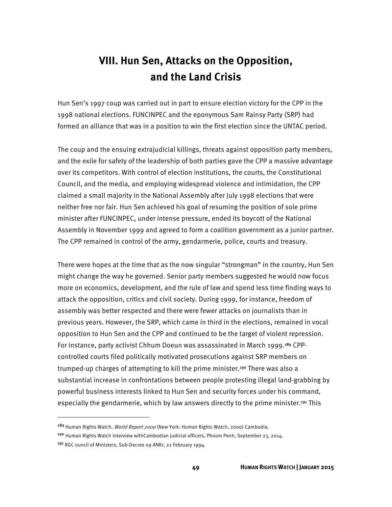## **VIII. Hun Sen, Attacks on the Opposition, and the Land Crisis**

Hun Sen's 1997 coup was carried out in part to ensure election victory for the CPP in the 1998 national elections. FUNCINPEC and the eponymous Sam Rainsy Party (SRP) had formed an alliance that was in a position to win the first election since the UNTAC period.

The coup and the ensuing extrajudicial killings, threats against opposition party members, and the exile for safety of the leadership of both parties gave the CPP a massive advantage over its competitors. With control of election institutions, the courts, the Constitutional Council, and the media, and employing widespread violence and intimidation, the CPP claimed a small majority in the National Assembly after July 1998 elections that were neither free nor fair. Hun Sen achieved his goal of resuming the position of sole prime minister after FUNCINPEC, under intense pressure, ended its boycott of the National Assembly in November 1999 and agreed to form a coalition government as a junior partner. The CPP remained in control of the army, gendarmerie, police, courts and treasury.

There were hopes at the time that as the now singular "strongman" in the country, Hun Sen might change the way he governed. Senior party members suggested he would now focus more on economics, development, and the rule of law and spend less time finding ways to attack the opposition, critics and civil society. During 1999, for instance, freedom of assembly was better respected and there were fewer attacks on journalists than in previous years. However, the SRP, which came in third in the elections, remained in vocal opposition to Hun Sen and the CPP and continued to be the target of violent repression. For instance, party activist Chhum Doeun was assassinated in March 1999.<sup>189</sup> CPPcontrolled courts filed politically motivated prosecutions against SRP members on trumped-up charges of attempting to kill the prime minister.<sup>190</sup> There was also a substantial increase in confrontations between people protesting illegal land-grabbing by powerful business interests linked to Hun Sen and security forces under his command, especially the gendarmerie, which by law answers directly to the prime minister.<sup>191</sup> This

**.** 

<sup>189</sup> Human Rights Watch, World Report 2000 (New York: Human Rights Watch, 2000) Cambodia.

<sup>190</sup> Human Rights Watch interview withCambodian judicial officers, Phnom Penh, September 23, 2014.

<sup>191</sup> RGC ouncil of Ministers, Sub-Decree 09 ANKr, 22 February 1994.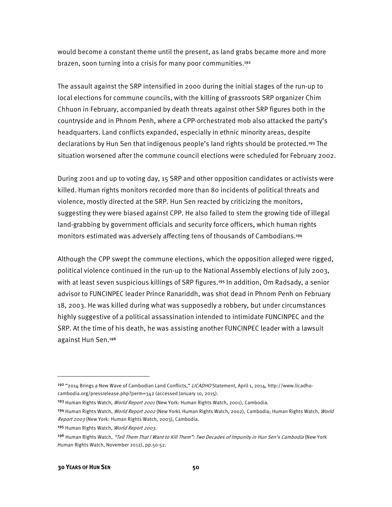would become a constant theme until the present, as land grabs became more and more brazen, soon turning into a crisis for many poor communities.<sup>192</sup>

The assault against the SRP intensified in 2000 during the initial stages of the run-up to local elections for commune councils, with the killing of grassroots SRP organizer Chim Chhuon in February, accompanied by death threats against other SRP figures both in the countryside and in Phnom Penh, where a CPP-orchestrated mob also attacked the party's headquarters. Land conflicts expanded, especially in ethnic minority areas, despite declarations by Hun Sen that indigenous people's land rights should be protected.<sup>193</sup> The situation worsened after the commune council elections were scheduled for February 2002.

During 2001 and up to voting day, 15 SRP and other opposition candidates or activists were killed. Human rights monitors recorded more than 80 incidents of political threats and violence, mostly directed at the SRP. Hun Sen reacted by criticizing the monitors, suggesting they were biased against CPP. He also failed to stem the growing tide of illegal land-grabbing by government officials and security force officers, which human rights monitors estimated was adversely affecting tens of thousands of Cambodians.194

Although the CPP swept the commune elections, which the opposition alleged were rigged, political violence continued in the run-up to the National Assembly elections of July 2003, with at least seven suspicious killings of SRP figures.<sup>195</sup> In addition, Om Radsady, a senior advisor to FUNCINPEC leader Prince Ranariddh, was shot dead in Phnom Penh on February 18, 2003. He was killed during what was supposedly a robbery, but under circumstances highly suggestive of a political assassination intended to intimidate FUNCINPEC and the SRP. At the time of his death, he was assisting another FUNCINPEC leader with a lawsuit against Hun Sen.<sup>196</sup>

195 Human Rights Watch, World Report 2003.

**.** 

<sup>&</sup>lt;sup>192</sup> "2014 Brings a New Wave of Cambodian Land Conflicts," *LICADHO* Statement, April 1, 2014, http://www.licadhocambodia.org/pressrelease.php?perm=342 (accessed January 10, 2015).

<sup>193</sup> Human Rights Watch, *World Report 2001* (New York: Human Rights Watch, 2001), Cambodia.

<sup>194</sup> Human Rights Watch, World Report 2002 (New YorkL Human Rights Watch, 2002), Cambodia; Human Rights Watch, World Report 2003 (New York: Human Rights Watch, 2003), Cambodia.

<sup>&</sup>lt;sup>196</sup> Human Rights Watch, "Tell Them That I Want to Kill Them": Two Decades of Impunity in Hun Sen's Cambodia (New York Human Rights Watch, November 2012), pp.50-52.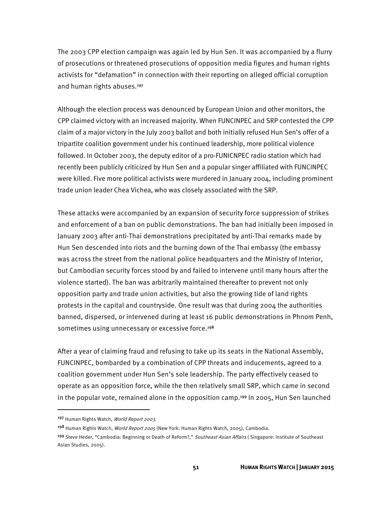The 2003 CPP election campaign was again led by Hun Sen. It was accompanied by a flurry of prosecutions or threatened prosecutions of opposition media figures and human rights activists for "defamation" in connection with their reporting on alleged official corruption and human rights abuses.197

Although the election process was denounced by European Union and other monitors, the CPP claimed victory with an increased majority. When FUNCINPEC and SRP contested the CPP claim of a major victory in the July 2003 ballot and both initially refused Hun Sen's offer of a tripartite coalition government under his continued leadership, more political violence followed. In October 2003, the deputy editor of a pro-FUNICNPEC radio station which had recently been publicly criticized by Hun Sen and a popular singer affiliated with FUNCINPEC were killed. Five more political activists were murdered in January 2004, including prominent trade union leader Chea Vichea, who was closely associated with the SRP.

These attacks were accompanied by an expansion of security force suppression of strikes and enforcement of a ban on public demonstrations. The ban had initially been imposed in January 2003 after anti-Thai demonstrations precipitated by anti-Thai remarks made by Hun Sen descended into riots and the burning down of the Thai embassy (the embassy was across the street from the national police headquarters and the Ministry of Interior, but Cambodian security forces stood by and failed to intervene until many hours after the violence started). The ban was arbitrarily maintained thereafter to prevent not only opposition party and trade union activities, but also the growing tide of land rights protests in the capital and countryside. One result was that during 2004 the authorities banned, dispersed, or intervened during at least 16 public demonstrations in Phnom Penh, sometimes using unnecessary or excessive force.<sup>198</sup>

After a year of claiming fraud and refusing to take up its seats in the National Assembly, FUNCINPEC, bombarded by a combination of CPP threats and inducements, agreed to a coalition government under Hun Sen's sole leadership. The party effectively ceased to operate as an opposition force, while the then relatively small SRP, which came in second in the popular vote, remained alone in the opposition camp.<sup>199</sup> In 2005, Hun Sen launched

<sup>197</sup> Human Rights Watch, World Report 2003.

<sup>198</sup> Human Rights Watch, World Report 2005 (New York: Human Rights Watch, 2005), Cambodia.

<sup>&</sup>lt;sup>199</sup> Steve Heder, "Cambodia: Beginning or Death of Reform?," Southeast Asian Affairs (Singapore: Institute of Southeast Asian Studies, 2005).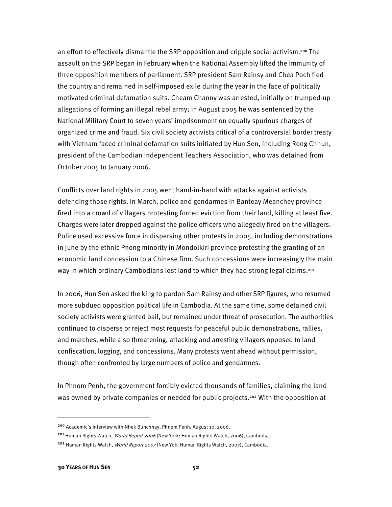an effort to effectively dismantle the SRP opposition and cripple social activism.200 The assault on the SRP began in February when the National Assembly lifted the immunity of three opposition members of parliament. SRP president Sam Rainsy and Chea Poch fled the country and remained in self-imposed exile during the year in the face of politically motivated criminal defamation suits. Cheam Channy was arrested, initially on trumped-up allegations of forming an illegal rebel army; in August 2005 he was sentenced by the National Military Court to seven years' imprisonment on equally spurious charges of organized crime and fraud. Six civil society activists critical of a controversial border treaty with Vietnam faced criminal defamation suits initiated by Hun Sen, including Rong Chhun, president of the Cambodian Independent Teachers Association, who was detained from October 2005 to January 2006.

Conflicts over land rights in 2005 went hand-in-hand with attacks against activists defending those rights. In March, police and gendarmes in Banteay Meanchey province fired into a crowd of villagers protesting forced eviction from their land, killing at least five. Charges were later dropped against the police officers who allegedly fired on the villagers. Police used excessive force in dispersing other protests in 2005, including demonstrations in June by the ethnic Pnong minority in Mondolkiri province protesting the granting of an economic land concession to a Chinese firm. Such concessions were increasingly the main way in which ordinary Cambodians lost land to which they had strong legal claims.<sup>201</sup>

In 2006, Hun Sen asked the king to pardon Sam Rainsy and other SRP figures, who resumed more subdued opposition political life in Cambodia. At the same time, some detained civil society activists were granted bail, but remained under threat of prosecution. The authorities continued to disperse or reject most requests for peaceful public demonstrations, rallies, and marches, while also threatening, attacking and arresting villagers opposed to land confiscation, logging, and concessions. Many protests went ahead without permission, though often confronted by large numbers of police and gendarmes.

In Phnom Penh, the government forcibly evicted thousands of families, claiming the land was owned by private companies or needed for public projects.<sup>202</sup> With the opposition at

<sup>201</sup> Human Rights Watch, *World Report 2006* (New York: Human Rights Watch, 2006), Cambodia. <sup>202</sup> Human Rights Watch, *World Report 2007* (New Yok: Human Rights Watch, 2007), Cambodia.

**.** 

<sup>200</sup> Academic's interview with Nhek Bunchhay, Phnom Penh, August 10, 2006.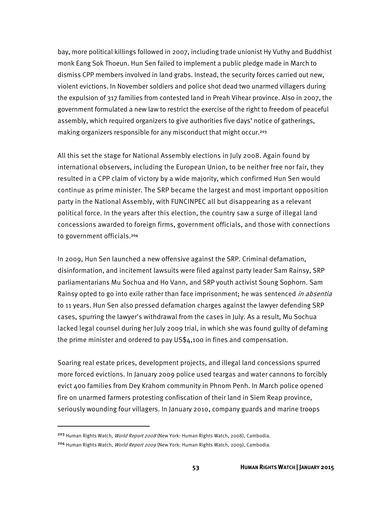bay, more political killings followed in 2007, including trade unionist Hy Vuthy and Buddhist monk Eang Sok Thoeun. Hun Sen failed to implement a public pledge made in March to dismiss CPP members involved in land grabs. Instead, the security forces carried out new, violent evictions. In November soldiers and police shot dead two unarmed villagers during the expulsion of 317 families from contested land in Preah Vihear province. Also in 2007, the government formulated a new law to restrict the exercise of the right to freedom of peaceful assembly, which required organizers to give authorities five days' notice of gatherings, making organizers responsible for any misconduct that might occur.<sup>203</sup>

All this set the stage for National Assembly elections in July 2008. Again found by international observers, including the European Union, to be neither free nor fair, they resulted in a CPP claim of victory by a wide majority, which confirmed Hun Sen would continue as prime minister. The SRP became the largest and most important opposition party in the National Assembly, with FUNCINPEC all but disappearing as a relevant political force. In the years after this election, the country saw a surge of illegal land concessions awarded to foreign firms, government officials, and those with connections to government officials.204

In 2009, Hun Sen launched a new offensive against the SRP. Criminal defamation, disinformation, and incitement lawsuits were filed against party leader Sam Rainsy, SRP parliamentarians Mu Sochua and Ho Vann, and SRP youth activist Soung Sophorn. Sam Rainsy opted to go into exile rather than face imprisonment; he was sentenced *in absentia* to 11 years. Hun Sen also pressed defamation charges against the lawyer defending SRP cases, spurring the lawyer's withdrawal from the cases in July. As a result, Mu Sochua lacked legal counsel during her July 2009 trial, in which she was found guilty of defaming the prime minister and ordered to pay US\$4,100 in fines and compensation.

Soaring real estate prices, development projects, and illegal land concessions spurred more forced evictions. In January 2009 police used teargas and water cannons to forcibly evict 400 families from Dey Krahom community in Phnom Penh. In March police opened fire on unarmed farmers protesting confiscation of their land in Siem Reap province, seriously wounding four villagers. In January 2010, company guards and marine troops

**.** 

<sup>&</sup>lt;sup>203</sup> Human Rights Watch, *World Report 2008* (New York: Human Rights Watch, 2008), Cambodia.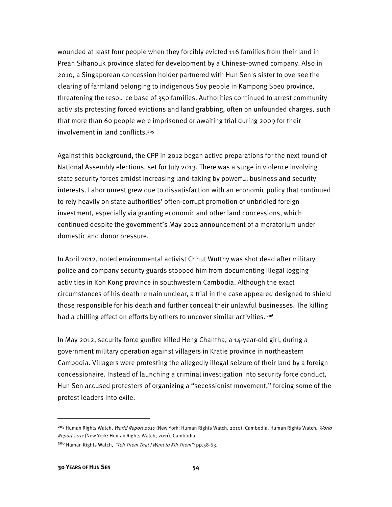wounded at least four people when they forcibly evicted 116 families from their land in Preah Sihanouk province slated for development by a Chinese-owned company. Also in 2010, a Singaporean concession holder partnered with Hun Sen's sister to oversee the clearing of farmland belonging to indigenous Suy people in Kampong Speu province, threatening the resource base of 350 families. Authorities continued to arrest community activists protesting forced evictions and land grabbing, often on unfounded charges, such that more than 60 people were imprisoned or awaiting trial during 2009 for their involvement in land conflicts.<sup>205</sup>

Against this background, the CPP in 2012 began active preparations for the next round of National Assembly elections, set for July 2013. There was a surge in violence involving state security forces amidst increasing land-taking by powerful business and security interests. Labor unrest grew due to dissatisfaction with an economic policy that continued to rely heavily on state authorities' often-corrupt promotion of unbridled foreign investment, especially via granting economic and other land concessions, which continued despite the government's May 2012 announcement of a moratorium under domestic and donor pressure.

In April 2012, noted environmental activist Chhut Wutthy was shot dead after military police and company security guards stopped him from documenting illegal logging activities in Koh Kong province in southwestern Cambodia. Although the exact circumstances of his death remain unclear, a trial in the case appeared designed to shield those responsible for his death and further conceal their unlawful businesses. The killing had a chilling effect on efforts by others to uncover similar activities.<sup>206</sup>

In May 2012, security force gunfire killed Heng Chantha, a 14-year-old girl, during a government military operation against villagers in Kratie province in northeastern Cambodia. Villagers were protesting the allegedly illegal seizure of their land by a foreign concessionaire. Instead of launching a criminal investigation into security force conduct, Hun Sen accused protesters of organizing a "secessionist movement," forcing some of the protest leaders into exile.

<sup>&</sup>lt;sup>205</sup> Human Rights Watch, *World Report 2010* (New York: Human Rights Watch, 2010), Cambodia. Human Rights Watch, *World* Report 2011 (New York: Human Rights Watch, 2011), Cambodia.

<sup>206</sup> Human Rights Watch, "Tell Them That I Want to Kill Them": pp.58-63.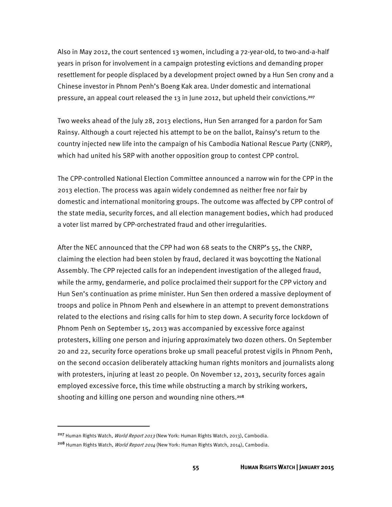Also in May 2012, the court sentenced 13 women, including a 72-year-old, to two-and-a-half years in prison for involvement in a campaign protesting evictions and demanding proper resettlement for people displaced by a development project owned by a Hun Sen crony and a Chinese investor in Phnom Penh's Boeng Kak area. Under domestic and international pressure, an appeal court released the 13 in June 2012, but upheld their convictions.207

Two weeks ahead of the July 28, 2013 elections, Hun Sen arranged for a pardon for Sam Rainsy. Although a court rejected his attempt to be on the ballot, Rainsy's return to the country injected new life into the campaign of his Cambodia National Rescue Party (CNRP), which had united his SRP with another opposition group to contest CPP control.

The CPP-controlled National Election Committee announced a narrow win for the CPP in the 2013 election. The process was again widely condemned as neither free nor fair by domestic and international monitoring groups. The outcome was affected by CPP control of the state media, security forces, and all election management bodies, which had produced a voter list marred by CPP-orchestrated fraud and other irregularities.

After the NEC announced that the CPP had won 68 seats to the CNRP's 55, the CNRP, claiming the election had been stolen by fraud, declared it was boycotting the National Assembly. The CPP rejected calls for an independent investigation of the alleged fraud, while the army, gendarmerie, and police proclaimed their support for the CPP victory and Hun Sen's continuation as prime minister. Hun Sen then ordered a massive deployment of troops and police in Phnom Penh and elsewhere in an attempt to prevent demonstrations related to the elections and rising calls for him to step down. A security force lockdown of Phnom Penh on September 15, 2013 was accompanied by excessive force against protesters, killing one person and injuring approximately two dozen others. On September 20 and 22, security force operations broke up small peaceful protest vigils in Phnom Penh, on the second occasion deliberately attacking human rights monitors and journalists along with protesters, injuring at least 20 people. On November 12, 2013, security forces again employed excessive force, this time while obstructing a march by striking workers, shooting and killing one person and wounding nine others.<sup>208</sup>

<sup>&</sup>lt;sup>207</sup> Human Rights Watch, *World Report 2013* (New York: Human Rights Watch, 2013), Cambodia. <sup>208</sup> Human Rights Watch, *World Report 2014* (New York: Human Rights Watch, 2014), Cambodia.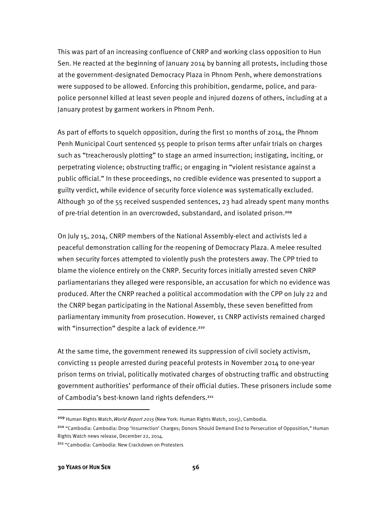This was part of an increasing confluence of CNRP and working class opposition to Hun Sen. He reacted at the beginning of January 2014 by banning all protests, including those at the government-designated Democracy Plaza in Phnom Penh, where demonstrations were supposed to be allowed. Enforcing this prohibition, gendarme, police, and parapolice personnel killed at least seven people and injured dozens of others, including at a January protest by garment workers in Phnom Penh.

As part of efforts to squelch opposition, during the first 10 months of 2014, the Phnom Penh Municipal Court sentenced 55 people to prison terms after unfair trials on charges such as "treacherously plotting" to stage an armed insurrection; instigating, inciting, or perpetrating violence; obstructing traffic; or engaging in "violent resistance against a public official." In these proceedings, no credible evidence was presented to support a guilty verdict, while evidence of security force violence was systematically excluded. Although 30 of the 55 received suspended sentences, 23 had already spent many months of pre-trial detention in an overcrowded, substandard, and isolated prison.<sup>209</sup>

On July 15, 2014, CNRP members of the National Assembly-elect and activists led a peaceful demonstration calling for the reopening of Democracy Plaza. A melee resulted when security forces attempted to violently push the protesters away. The CPP tried to blame the violence entirely on the CNRP. Security forces initially arrested seven CNRP parliamentarians they alleged were responsible, an accusation for which no evidence was produced. After the CNRP reached a political accommodation with the CPP on July 22 and the CNRP began participating in the National Assembly, these seven benefitted from parliamentary immunity from prosecution. However, 11 CNRP activists remained charged with "insurrection" despite a lack of evidence.<sup>210</sup>

At the same time, the government renewed its suppression of civil society activism, convicting 11 people arrested during peaceful protests in November 2014 to one-year prison terms on trivial, politically motivated charges of obstructing traffic and obstructing government authorities' performance of their official duties. These prisoners include some of Cambodia's best-known land rights defenders.<sup>211</sup>

<sup>&</sup>lt;sup>209</sup> Human Rights Watch, World Report 2015 (New York: Human Rights Watch, 2015), Cambodia.

<sup>&</sup>lt;sup>210</sup> "Cambodia: Cambodia: Drop 'Insurrection' Charges; Donors Should Demand End to Persecution of Opposition," Human Rights Watch news release, December 22, 2014.

<sup>211</sup> "Cambodia: Cambodia: New Crackdown on Protesters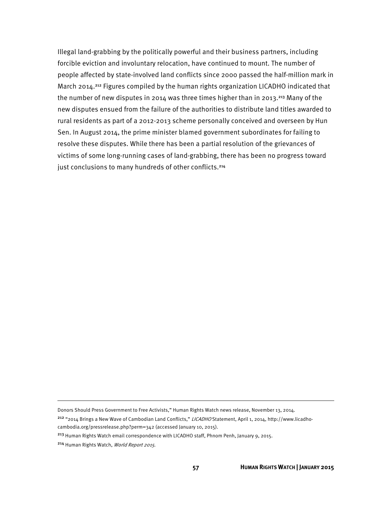Illegal land-grabbing by the politically powerful and their business partners, including forcible eviction and involuntary relocation, have continued to mount. The number of people affected by state-involved land conflicts since 2000 passed the half-million mark in March 2014.<sup>212</sup> Figures compiled by the human rights organization LICADHO indicated that the number of new disputes in 2014 was three times higher than in 2013.213 Many of the new disputes ensued from the failure of the authorities to distribute land titles awarded to rural residents as part of a 2012-2013 scheme personally conceived and overseen by Hun Sen. In August 2o14, the prime minister blamed government subordinates for failing to resolve these disputes. While there has been a partial resolution of the grievances of victims of some long-running cases of land-grabbing, there has been no progress toward just conclusions to many hundreds of other conflicts.<sup>214</sup>

l

Donors Should Press Government to Free Activists," Human Rights Watch news release, November 13, 2014.

<sup>&</sup>lt;sup>212</sup> "2014 Brings a New Wave of Cambodian Land Conflicts," LICADHO Statement, April 1, 2014, http://www.licadhocambodia.org/pressrelease.php?perm=342 (accessed January 10, 2015).

<sup>&</sup>lt;sup>213</sup> Human Rights Watch email correspondence with LICADHO staff, Phnom Penh, January 9, 2015.

<sup>&</sup>lt;sup>214</sup> Human Rights Watch, World Report 2015.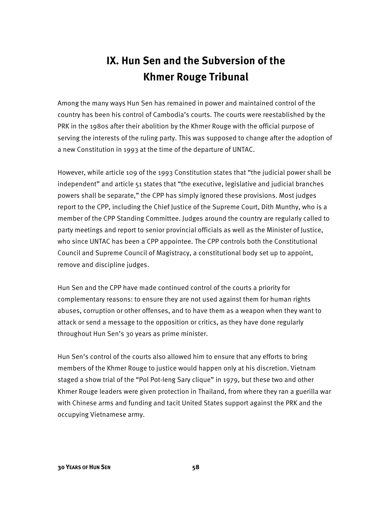## **IX. Hun Sen and the Subversion of the Khmer Rouge Tribunal**

Among the many ways Hun Sen has remained in power and maintained control of the country has been his control of Cambodia's courts. The courts were reestablished by the PRK in the 1980s after their abolition by the Khmer Rouge with the official purpose of serving the interests of the ruling party. This was supposed to change after the adoption of a new Constitution in 1993 at the time of the departure of UNTAC.

However, while article 109 of the 1993 Constitution states that "the judicial power shall be independent" and article 51 states that "the executive, legislative and judicial branches powers shall be separate," the CPP has simply ignored these provisions. Most judges report to the CPP, including the Chief Justice of the Supreme Court, Dith Munthy, who is a member of the CPP Standing Committee. Judges around the country are regularly called to party meetings and report to senior provincial officials as well as the Minister of Justice, who since UNTAC has been a CPP appointee. The CPP controls both the Constitutional Council and Supreme Council of Magistracy, a constitutional body set up to appoint, remove and discipline judges.

Hun Sen and the CPP have made continued control of the courts a priority for complementary reasons: to ensure they are not used against them for human rights abuses, corruption or other offenses, and to have them as a weapon when they want to attack or send a message to the opposition or critics, as they have done regularly throughout Hun Sen's 30 years as prime minister.

Hun Sen's control of the courts also allowed him to ensure that any efforts to bring members of the Khmer Rouge to justice would happen only at his discretion. Vietnam staged a show trial of the "Pol Pot-Ieng Sary clique" in 1979, but these two and other Khmer Rouge leaders were given protection in Thailand, from where they ran a guerilla war with Chinese arms and funding and tacit United States support against the PRK and the occupying Vietnamese army.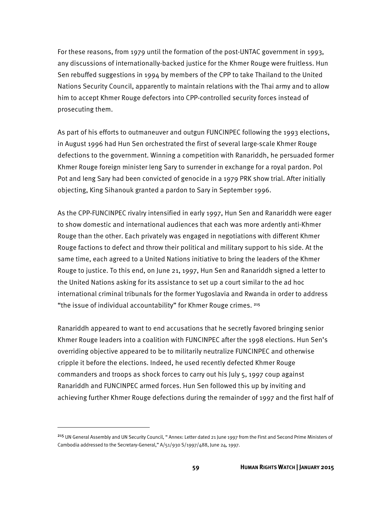For these reasons, from 1979 until the formation of the post-UNTAC government in 1993, any discussions of internationally-backed justice for the Khmer Rouge were fruitless. Hun Sen rebuffed suggestions in 1994 by members of the CPP to take Thailand to the United Nations Security Council, apparently to maintain relations with the Thai army and to allow him to accept Khmer Rouge defectors into CPP-controlled security forces instead of prosecuting them.

As part of his efforts to outmaneuver and outgun FUNCINPEC following the 1993 elections, in August 1996 had Hun Sen orchestrated the first of several large-scale Khmer Rouge defections to the government. Winning a competition with Ranariddh, he persuaded former Khmer Rouge foreign minister Ieng Sary to surrender in exchange for a royal pardon. Pol Pot and Ieng Sary had been convicted of genocide in a 1979 PRK show trial. After initially objecting, King Sihanouk granted a pardon to Sary in September 1996.

As the CPP-FUNCINPEC rivalry intensified in early 1997, Hun Sen and Ranariddh were eager to show domestic and international audiences that each was more ardently anti-Khmer Rouge than the other. Each privately was engaged in negotiations with different Khmer Rouge factions to defect and throw their political and military support to his side. At the same time, each agreed to a United Nations initiative to bring the leaders of the Khmer Rouge to justice. To this end, on June 21, 1997, Hun Sen and Ranariddh signed a letter to the United Nations asking for its assistance to set up a court similar to the ad hoc international criminal tribunals for the former Yugoslavia and Rwanda in order to address "the issue of individual accountability" for Khmer Rouge crimes. 215

Ranariddh appeared to want to end accusations that he secretly favored bringing senior Khmer Rouge leaders into a coalition with FUNCINPEC after the 1998 elections. Hun Sen's overriding objective appeared to be to militarily neutralize FUNCINPEC and otherwise cripple it before the elections. Indeed, he used recently defected Khmer Rouge commanders and troops as shock forces to carry out his July 5, 1997 coup against Ranariddh and FUNCINPEC armed forces. Hun Sen followed this up by inviting and achieving further Khmer Rouge defections during the remainder of 1997 and the first half of

l

<sup>215</sup> UN General Assembly and UN Security Council, "Annex: Letter dated 21 June 1997 from the First and Second Prime Ministers of Cambodia addressed to the Secretary-General," A/51/930 S/1997/488, June 24, 1997.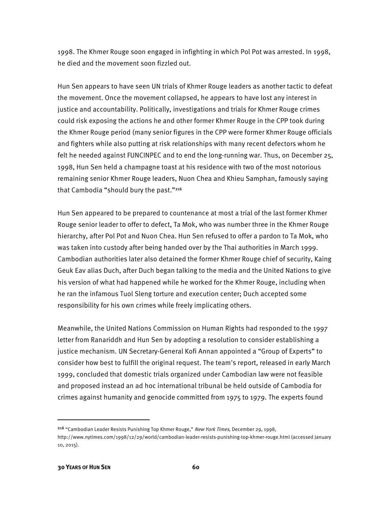1998. The Khmer Rouge soon engaged in infighting in which Pol Pot was arrested. In 1998, he died and the movement soon fizzled out.

Hun Sen appears to have seen UN trials of Khmer Rouge leaders as another tactic to defeat the movement. Once the movement collapsed, he appears to have lost any interest in justice and accountability. Politically, investigations and trials for Khmer Rouge crimes could risk exposing the actions he and other former Khmer Rouge in the CPP took during the Khmer Rouge period (many senior figures in the CPP were former Khmer Rouge officials and fighters while also putting at risk relationships with many recent defectors whom he felt he needed against FUNCINPEC and to end the long-running war. Thus, on December 25, 1998, Hun Sen held a champagne toast at his residence with two of the most notorious remaining senior Khmer Rouge leaders, Nuon Chea and Khieu Samphan, famously saying that Cambodia "should bury the past."<sup>216</sup>

Hun Sen appeared to be prepared to countenance at most a trial of the last former Khmer Rouge senior leader to offer to defect, Ta Mok, who was number three in the Khmer Rouge hierarchy, after Pol Pot and Nuon Chea. Hun Sen refused to offer a pardon to Ta Mok, who was taken into custody after being handed over by the Thai authorities in March 1999. Cambodian authorities later also detained the former Khmer Rouge chief of security, Kaing Geuk Eav alias Duch, after Duch began talking to the media and the United Nations to give his version of what had happened while he worked for the Khmer Rouge, including when he ran the infamous Tuol Sleng torture and execution center; Duch accepted some responsibility for his own crimes while freely implicating others.

Meanwhile, the United Nations Commission on Human Rights had responded to the 1997 letter from Ranariddh and Hun Sen by adopting a resolution to consider establishing a justice mechanism. UN Secretary-General Kofi Annan appointed a "Group of Experts" to consider how best to fulfill the original request. The team's report, released in early March 1999, concluded that domestic trials organized under Cambodian law were not feasible and proposed instead an ad hoc international tribunal be held outside of Cambodia for crimes against humanity and genocide committed from 1975 to 1979. The experts found

<u>.</u>

<sup>&</sup>lt;sup>216</sup> "Cambodian Leader Resists Punishing Top Khmer Rouge," New York Times, December 29, 1998, http://www.nytimes.com/1998/12/29/world/cambodian-leader-resists-punishing-top-khmer-rouge.html (accessed January 10, 2015).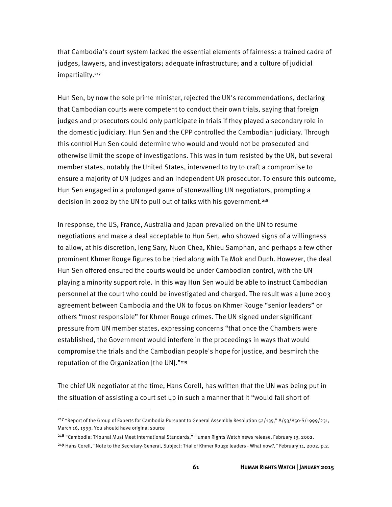that Cambodia's court system lacked the essential elements of fairness: a trained cadre of judges, lawyers, and investigators; adequate infrastructure; and a culture of judicial impartiality.<sup>217</sup>

Hun Sen, by now the sole prime minister, rejected the UN's recommendations, declaring that Cambodian courts were competent to conduct their own trials, saying that foreign judges and prosecutors could only participate in trials if they played a secondary role in the domestic judiciary. Hun Sen and the CPP controlled the Cambodian judiciary. Through this control Hun Sen could determine who would and would not be prosecuted and otherwise limit the scope of investigations. This was in turn resisted by the UN, but several member states, notably the United States, intervened to try to craft a compromise to ensure a majority of UN judges and an independent UN prosecutor. To ensure this outcome, Hun Sen engaged in a prolonged game of stonewalling UN negotiators, prompting a decision in 2002 by the UN to pull out of talks with his government.<sup>218</sup>

In response, the US, France, Australia and Japan prevailed on the UN to resume negotiations and make a deal acceptable to Hun Sen, who showed signs of a willingness to allow, at his discretion, Ieng Sary, Nuon Chea, Khieu Samphan, and perhaps a few other prominent Khmer Rouge figures to be tried along with Ta Mok and Duch. However, the deal Hun Sen offered ensured the courts would be under Cambodian control, with the UN playing a minority support role. In this way Hun Sen would be able to instruct Cambodian personnel at the court who could be investigated and charged. The result was a June 2003 agreement between Cambodia and the UN to focus on Khmer Rouge "senior leaders" or others "most responsible" for Khmer Rouge crimes. The UN signed under significant pressure from UN member states, expressing concerns "that once the Chambers were established, the Government would interfere in the proceedings in ways that would compromise the trials and the Cambodian people's hope for justice, and besmirch the reputation of the Organization [the UN]."219

The chief UN negotiator at the time, Hans Corell, has written that the UN was being put in the situation of assisting a court set up in such a manner that it "would fall short of

<sup>&</sup>lt;sup>217</sup> "Report of the Group of Experts for Cambodia Pursuant to General Assembly Resolution  $52/135$ ," A/ $53/850$ -S/1999/231, March 16, 1999. You should have original source

<sup>218</sup> "Cambodia: Tribunal Must Meet International Standards," Human Rights Watch news release, February 13, 2002. <sup>219</sup> Hans Corell, "Note to the Secretary-General, Subject: Trial of Khmer Rouge leaders - What now?," February 11, 2002, p.2.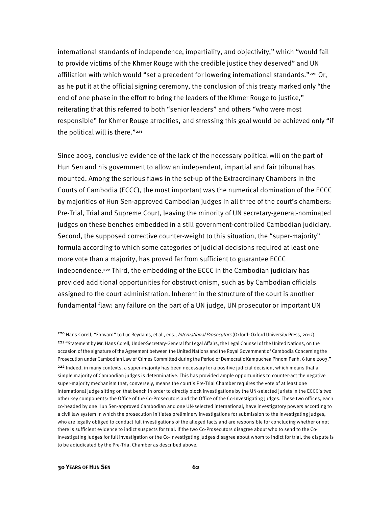international standards of independence, impartiality, and objectivity," which "would fail to provide victims of the Khmer Rouge with the credible justice they deserved" and UN affiliation with which would "set a precedent for lowering international standards."<sup>220</sup> Or, as he put it at the official signing ceremony, the conclusion of this treaty marked only "the end of one phase in the effort to bring the leaders of the Khmer Rouge to justice," reiterating that this referred to both "senior leaders" and others "who were most responsible" for Khmer Rouge atrocities, and stressing this goal would be achieved only "if the political will is there."<sup>221</sup>

Since 2003, conclusive evidence of the lack of the necessary political will on the part of Hun Sen and his government to allow an independent, impartial and fair tribunal has mounted. Among the serious flaws in the set-up of the Extraordinary Chambers in the Courts of Cambodia (ECCC), the most important was the numerical domination of the ECCC by majorities of Hun Sen-approved Cambodian judges in all three of the court's chambers: Pre-Trial, Trial and Supreme Court, leaving the minority of UN secretary-general-nominated judges on these benches embedded in a still government-controlled Cambodian judiciary. Second, the supposed corrective counter-weight to this situation, the "super-majority" formula according to which some categories of judicial decisions required at least one more vote than a majority, has proved far from sufficient to guarantee ECCC independence.222 Third, the embedding of the ECCC in the Cambodian judiciary has provided additional opportunities for obstructionism, such as by Cambodian officials assigned to the court administration. Inherent in the structure of the court is another fundamental flaw: any failure on the part of a UN judge, UN prosecutor or important UN

**.** 

<sup>220</sup> Hans Corell, "Forward" to Luc Reydams, et al., eds., *International Prosecutors* (Oxford: Oxford University Press, 2012). 221 "Statement by Mr. Hans Corell, Under-Secretary-General for Legal Affairs, the Legal Counsel of the United Nations, on the occasion of the signature of the Agreement between the United Nations and the Royal Government of Cambodia Concerning the Prosecution under Cambodian Law of Crimes Committed during the Period of Democratic Kampuchea Phnom Penh, 6 June 2003." <sup>222</sup> Indeed, in many contexts, a super-majority has been necessary for a positive judicial decision, which means that a simple majority of Cambodian judges is determinative. This has provided ample opportunities to counter-act the negative super-majority mechanism that, conversely, means the court's Pre-Trial Chamber requires the vote of at least one international judge sitting on that bench in order to directly block investigations by the UN-selected jurists in the ECCC's two other key components: the Office of the Co-Prosecutors and the Office of the Co-Investigating Judges. These two offices, each co-headed by one Hun Sen-approved Cambodian and one UN-selected international, have investigatory powers according to a civil law system in which the prosecution initiates preliminary investigations for submission to the investigating judges, who are legally obliged to conduct full investigations of the alleged facts and are responsible for concluding whether or not there is sufficient evidence to indict suspects for trial. If the two Co-Prosecutors disagree about who to send to the Co-Investigating Judges for full investigation or the Co-Investigating Judges disagree about whom to indict for trial, the dispute is to be adjudicated by the Pre-Trial Chamber as described above.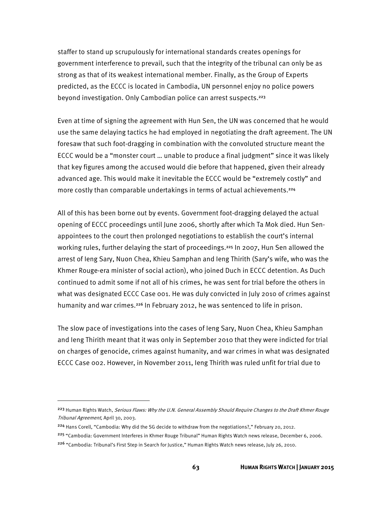staffer to stand up scrupulously for international standards creates openings for government interference to prevail, such that the integrity of the tribunal can only be as strong as that of its weakest international member. Finally, as the Group of Experts predicted, as the ECCC is located in Cambodia, UN personnel enjoy no police powers beyond investigation. Only Cambodian police can arrest suspects.<sup>223</sup>

Even at time of signing the agreement with Hun Sen, the UN was concerned that he would use the same delaying tactics he had employed in negotiating the draft agreement. The UN foresaw that such foot-dragging in combination with the convoluted structure meant the ECCC would be a "monster court … unable to produce a final judgment" since it was likely that key figures among the accused would die before that happened, given their already advanced age. This would make it inevitable the ECCC would be "extremely costly" and more costly than comparable undertakings in terms of actual achievements.<sup>224</sup>

All of this has been borne out by events. Government foot-dragging delayed the actual opening of ECCC proceedings until June 2006, shortly after which Ta Mok died. Hun Senappointees to the court then prolonged negotiations to establish the court's internal working rules, further delaying the start of proceedings.<sup>225</sup> In 2007, Hun Sen allowed the arrest of Ieng Sary, Nuon Chea, Khieu Samphan and Ieng Thirith (Sary's wife, who was the Khmer Rouge-era minister of social action), who joined Duch in ECCC detention. As Duch continued to admit some if not all of his crimes, he was sent for trial before the others in what was designated ECCC Case 001. He was duly convicted in July 2010 of crimes against humanity and war crimes.<sup>226</sup> In February 2012, he was sentenced to life in prison.

The slow pace of investigations into the cases of Ieng Sary, Nuon Chea, Khieu Samphan and Ieng Thirith meant that it was only in September 2010 that they were indicted for trial on charges of genocide, crimes against humanity, and war crimes in what was designated ECCC Case 002. However, in November 2011, Ieng Thirith was ruled unfit for trial due to

<sup>224</sup> Hans Corell, "Cambodia: Why did the SG decide to withdraw from the negotiations?," February 20, 2012.

l

<sup>225</sup> "Cambodia: Government Interferes in Khmer Rouge Tribunal" Human Rights Watch news release, December 6, 2006. 226 "Cambodia: Tribunal's First Step in Search for Justice," Human Rights Watch news release, July 26, 2010.

<sup>&</sup>lt;sup>223</sup> Human Rights Watch, *Serious Flaws: Why the U.N. General Assembly Should Require Changes to the Draft Khmer Rouge* Tribunal Agreement, April 30, 2003.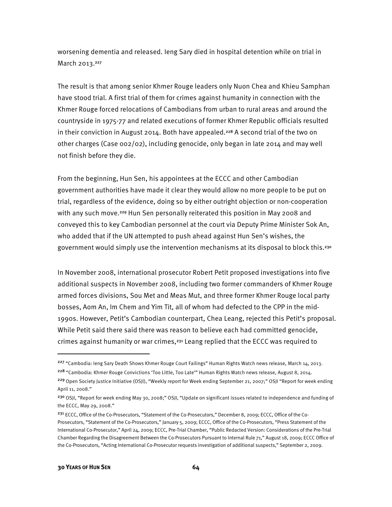worsening dementia and released. Ieng Sary died in hospital detention while on trial in March 2013.<sup>227</sup>

The result is that among senior Khmer Rouge leaders only Nuon Chea and Khieu Samphan have stood trial. A first trial of them for crimes against humanity in connection with the Khmer Rouge forced relocations of Cambodians from urban to rural areas and around the countryside in 1975-77 and related executions of former Khmer Republic officials resulted in their conviction in August 2014. Both have appealed.<sup>228</sup> A second trial of the two on other charges (Case 002/02), including genocide, only began in late 2014 and may well not finish before they die.

From the beginning, Hun Sen, his appointees at the ECCC and other Cambodian government authorities have made it clear they would allow no more people to be put on trial, regardless of the evidence, doing so by either outright objection or non-cooperation with any such move.<sup>229</sup> Hun Sen personally reiterated this position in May 2008 and conveyed this to key Cambodian personnel at the court via Deputy Prime Minister Sok An, who added that if the UN attempted to push ahead against Hun Sen's wishes, the government would simply use the intervention mechanisms at its disposal to block this.230

In November 2008, international prosecutor Robert Petit proposed investigations into five additional suspects in November 2008, including two former commanders of Khmer Rouge armed forces divisions, Sou Met and Meas Mut, and three former Khmer Rouge local party bosses, Aom An, Im Chem and Yim Tit, all of whom had defected to the CPP in the mid-1990s. However, Petit's Cambodian counterpart, Chea Leang, rejected this Petit's proposal. While Petit said there said there was reason to believe each had committed genocide, crimes against humanity or war crimes,231 Leang replied that the ECCC was required to

 $\overline{a}$ 

<sup>&</sup>lt;sup>227</sup> "Cambodia: Ieng Sary Death Shows Khmer Rouge Court Failings" Human Rights Watch news release, March 14, 2013. <sup>228</sup> "Cambodia: Khmer Rouge Convictions 'Too Little, Too Late'" Human Rights Watch news release, August 8, 2014. <sup>229</sup> Open Society Justice Initiative (OSJI), "Weekly report for Week ending September 21, 2007;" OSJI "Report for week ending

April 11, 2008."

<sup>230</sup> OSJI, "Report for week ending May 30, 2008;" OSJI, "Update on significant issues related to independence and funding of the ECCC, May 29, 2008."

<sup>&</sup>lt;sup>231</sup> ECCC, Office of the Co-Prosecutors, "Statement of the Co-Prosecutors," December 8, 2009; ECCC, Office of the Co-Prosecutors, "Statement of the Co-Prosecutors," January 5, 2009; ECCC, Office of the Co-Prosecutors, "Press Statement of the International Co-Prosecutor," April 24, 2009; ECCC, Pre-Trial Chamber, "Public Redacted Version: Considerations of the Pre-Trial Chamber Regarding the Disagreement Between the Co-Prosecutors Pursuant to Internal Rule 71," August 18, 2009; ECCC Office of the Co-Prosecutors, "Acting International Co-Prosecutor requests investigation of additional suspects," September 2, 2009.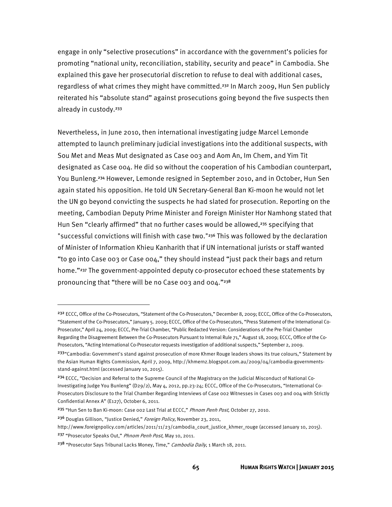engage in only "selective prosecutions" in accordance with the government's policies for promoting "national unity, reconciliation, stability, security and peace" in Cambodia. She explained this gave her prosecutorial discretion to refuse to deal with additional cases, regardless of what crimes they might have committed.232 In March 2009, Hun Sen publicly reiterated his "absolute stand" against prosecutions going beyond the five suspects then already in custody.<sup>233</sup>

Nevertheless, in June 2010, then international investigating judge Marcel Lemonde attempted to launch preliminary judicial investigations into the additional suspects, with Sou Met and Meas Mut designated as Case 003 and Aom An, Im Chem, and Yim Tit designated as Case 004. He did so without the cooperation of his Cambodian counterpart, You Bunleng.234 However, Lemonde resigned in September 2010, and in October, Hun Sen again stated his opposition. He told UN Secretary-General Ban Ki-moon he would not let the UN go beyond convicting the suspects he had slated for prosecution. Reporting on the meeting, Cambodian Deputy Prime Minister and Foreign Minister Hor Namhong stated that Hun Sen "clearly affirmed" that no further cases would be allowed,<sup>235</sup> specifying that "successful convictions will finish with case two."<sup>236</sup> This was followed by the declaration of Minister of Information Khieu Kanharith that if UN international jurists or staff wanted "to go into Case 003 or Case 004," they should instead "just pack their bags and return home."<sup>237</sup> The government-appointed deputy co-prosecutor echoed these statements by pronouncing that "there will be no Case 003 and 004."238

 $\overline{a}$ 

<sup>232</sup> ECCC, Office of the Co-Prosecutors, "Statement of the Co-Prosecutors," December 8, 2009; ECCC, Office of the Co-Prosecutors, "Statement of the Co-Prosecutors," January 5. 2009; ECCC, Office of the Co-Prosecutors, "Press Statement of the International Co-Prosecutor," April 24, 2009; ECCC, Pre-Trial Chamber, "Public Redacted Version: Considerations of the Pre-Trial Chamber Regarding the Disagreement Between the Co-Prosecutors Pursuant to Internal Rule 71," August 18, 2009; ECCC, Office of the Co-Prosecutors, "Acting International Co-Prosecutor requests investigation of additional suspects," September 2, 2009.

<sup>&</sup>lt;sup>233</sup> "Cambodia: Government's stand against prosecution of more Khmer Rouge leaders shows its true colours, "Statement by the Asian Human Rights Commission, April 7, 2009, http://khmernz.blogspot.com.au/2009/04/cambodia-governmentsstand-against.html (accessed January 10, 2015).

<sup>&</sup>lt;sup>234</sup> ECCC, "Decision and Referral to the Supreme Council of the Magistracy on the Judicial Misconduct of National Co-Investigating Judge You Bunleng" (D29/2), May 4, 2012, pp.23-24; ECCC, Office of the Co-Prosecutors, "International Co-Prosecutors Disclosure to the Trial Chamber Regarding Interviews of Case 002 Witnesses in Cases 003 and 004 with Strictly Confidential Annex A" (E127), October 6, 2011.

<sup>&</sup>lt;sup>235</sup> "Hun Sen to Ban Ki-moon: Case 002 Last Trial at ECCC," Phnom Penh Post, October 27, 2010.

<sup>&</sup>lt;sup>236</sup> Douglas Gillison, "Justice Denied," Foreign Policy, November 23, 2011,

http://www.foreignpolicy.com/articles/2011/11/23/cambodia\_court\_justice\_khmer\_rouge (accessed January 10, 2015). <sup>237</sup> "Prosecutor Speaks Out," Phnom Penh Post, May 10, 2011.

<sup>&</sup>lt;sup>238</sup> "Prosecutor Says Tribunal Lacks Money, Time," Cambodia Daily, 1 March 18, 2011.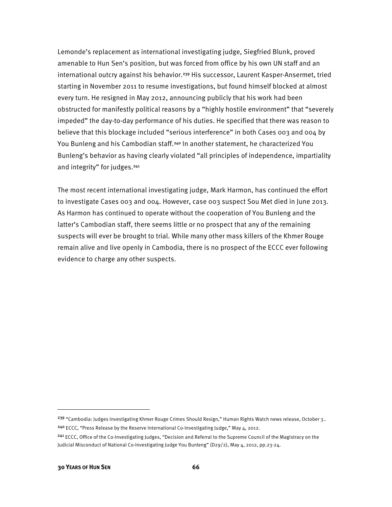Lemonde's replacement as international investigating judge, Siegfried Blunk, proved amenable to Hun Sen's position, but was forced from office by his own UN staff and an international outcry against his behavior.<sup>239</sup> His successor, Laurent Kasper-Ansermet, tried starting in November 2011 to resume investigations, but found himself blocked at almost every turn. He resigned in May 2012, announcing publicly that his work had been obstructed for manifestly political reasons by a "highly hostile environment" that "severely impeded" the day-to-day performance of his duties. He specified that there was reason to believe that this blockage included "serious interference" in both Cases 003 and 004 by You Bunleng and his Cambodian staff.<sup>240</sup> In another statement, he characterized You Bunleng's behavior as having clearly violated "all principles of independence, impartiality and integrity" for judges.<sup>241</sup>

The most recent international investigating judge, Mark Harmon, has continued the effort to investigate Cases 003 and 004. However, case 003 suspect Sou Met died in June 2013. As Harmon has continued to operate without the cooperation of You Bunleng and the latter's Cambodian staff, there seems little or no prospect that any of the remaining suspects will ever be brought to trial. While many other mass killers of the Khmer Rouge remain alive and live openly in Cambodia, there is no prospect of the ECCC ever following evidence to charge any other suspects.

 $\overline{\phantom{a}}$ 

<sup>&</sup>lt;sup>239</sup> "Cambodia: Judges Investigating Khmer Rouge Crimes Should Resign," Human Rights Watch news release, October 3.. <sup>240</sup> ECCC, "Press Release by the Reserve International Co-Investigating Judge," May 4, 2012.

<sup>&</sup>lt;sup>241</sup> ECCC, Office of the Co-Investigating Judges, "Decision and Referral to the Supreme Council of the Magistracy on the Judicial Misconduct of National Co-Investigating Judge You Bunleng" (D29/2), May 4, 2012, pp.23-24.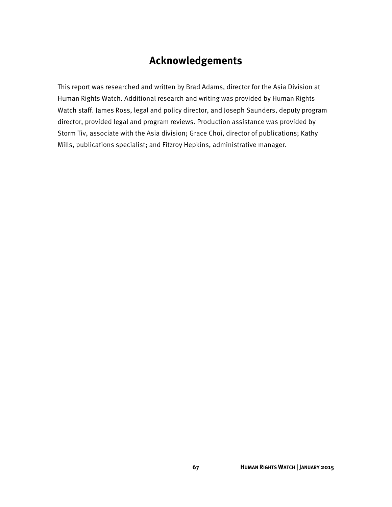## **Acknowledgements**

This report was researched and written by Brad Adams, director for the Asia Division at Human Rights Watch. Additional research and writing was provided by Human Rights Watch staff. James Ross, legal and policy director, and Joseph Saunders, deputy program director, provided legal and program reviews. Production assistance was provided by Storm Tiv, associate with the Asia division; Grace Choi, director of publications; Kathy Mills, publications specialist; and Fitzroy Hepkins, administrative manager.